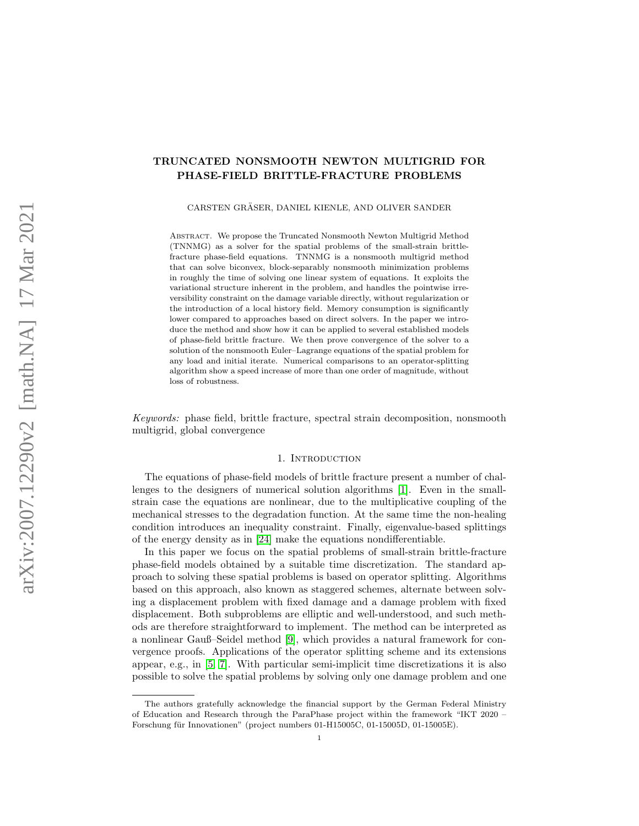# TRUNCATED NONSMOOTH NEWTON MULTIGRID FOR PHASE-FIELD BRITTLE-FRACTURE PROBLEMS

CARSTEN GRÄSER, DANIEL KIENLE, AND OLIVER SANDER

ABSTRACT. We propose the Truncated Nonsmooth Newton Multigrid Method (TNNMG) as a solver for the spatial problems of the small-strain brittlefracture phase-field equations. TNNMG is a nonsmooth multigrid method that can solve biconvex, block-separably nonsmooth minimization problems in roughly the time of solving one linear system of equations. It exploits the variational structure inherent in the problem, and handles the pointwise irreversibility constraint on the damage variable directly, without regularization or the introduction of a local history field. Memory consumption is significantly lower compared to approaches based on direct solvers. In the paper we introduce the method and show how it can be applied to several established models of phase-field brittle fracture. We then prove convergence of the solver to a solution of the nonsmooth Euler–Lagrange equations of the spatial problem for any load and initial iterate. Numerical comparisons to an operator-splitting algorithm show a speed increase of more than one order of magnitude, without loss of robustness.

Keywords: phase field, brittle fracture, spectral strain decomposition, nonsmooth multigrid, global convergence

#### 1. INTRODUCTION

The equations of phase-field models of brittle fracture present a number of challenges to the designers of numerical solution algorithms [\[1\]](#page-35-0). Even in the smallstrain case the equations are nonlinear, due to the multiplicative coupling of the mechanical stresses to the degradation function. At the same time the non-healing condition introduces an inequality constraint. Finally, eigenvalue-based splittings of the energy density as in [\[24\]](#page-39-0) make the equations nondifferentiable.

In this paper we focus on the spatial problems of small-strain brittle-fracture phase-field models obtained by a suitable time discretization. The standard approach to solving these spatial problems is based on operator splitting. Algorithms based on this approach, also known as staggered schemes, alternate between solving a displacement problem with fixed damage and a damage problem with fixed displacement. Both subproblems are elliptic and well-understood, and such methods are therefore straightforward to implement. The method can be interpreted as a nonlinear Gauß–Seidel method [\[9\]](#page-38-0), which provides a natural framework for convergence proofs. Applications of the operator splitting scheme and its extensions appear, e.g., in [\[5,](#page-38-1) [7\]](#page-38-2). With particular semi-implicit time discretizations it is also possible to solve the spatial problems by solving only one damage problem and one

The authors gratefully acknowledge the financial support by the German Federal Ministry of Education and Research through the ParaPhase project within the framework "IKT 2020 – Forschung für Innovationen" (project numbers 01-H15005C, 01-15005D, 01-15005E).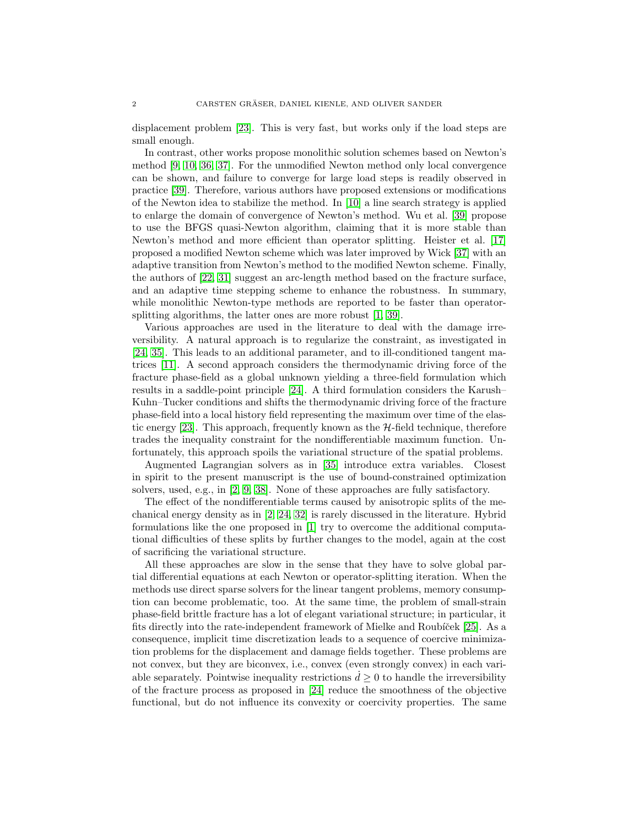displacement problem [\[23\]](#page-39-1). This is very fast, but works only if the load steps are small enough.

In contrast, other works propose monolithic solution schemes based on Newton's method [\[9,](#page-38-0) [10,](#page-38-3) [36,](#page-39-2) [37\]](#page-39-3). For the unmodified Newton method only local convergence can be shown, and failure to converge for large load steps is readily observed in practice [\[39\]](#page-40-0). Therefore, various authors have proposed extensions or modifications of the Newton idea to stabilize the method. In [\[10\]](#page-38-3) a line search strategy is applied to enlarge the domain of convergence of Newton's method. Wu et al. [\[39\]](#page-40-0) propose to use the BFGS quasi-Newton algorithm, claiming that it is more stable than Newton's method and more efficient than operator splitting. Heister et al. [\[17\]](#page-38-4) proposed a modified Newton scheme which was later improved by Wick [\[37\]](#page-39-3) with an adaptive transition from Newton's method to the modified Newton scheme. Finally, the authors of [\[22,](#page-39-4) [31\]](#page-39-5) suggest an arc-length method based on the fracture surface, and an adaptive time stepping scheme to enhance the robustness. In summary, while monolithic Newton-type methods are reported to be faster than operatorsplitting algorithms, the latter ones are more robust [\[1,](#page-35-0) [39\]](#page-40-0).

Various approaches are used in the literature to deal with the damage irreversibility. A natural approach is to regularize the constraint, as investigated in [\[24,](#page-39-0) [35\]](#page-39-6). This leads to an additional parameter, and to ill-conditioned tangent matrices [\[11\]](#page-38-5). A second approach considers the thermodynamic driving force of the fracture phase-field as a global unknown yielding a three-field formulation which results in a saddle-point principle [\[24\]](#page-39-0). A third formulation considers the Karush– Kuhn–Tucker conditions and shifts the thermodynamic driving force of the fracture phase-field into a local history field representing the maximum over time of the elastic energy  $[23]$ . This approach, frequently known as the  $\mathcal{H}\text{-field}$  technique, therefore trades the inequality constraint for the nondifferentiable maximum function. Unfortunately, this approach spoils the variational structure of the spatial problems.

Augmented Lagrangian solvers as in [\[35\]](#page-39-6) introduce extra variables. Closest in spirit to the present manuscript is the use of bound-constrained optimization solvers, used, e.g., in [\[2,](#page-35-1) [9,](#page-38-0) [38\]](#page-39-7). None of these approaches are fully satisfactory.

The effect of the nondifferentiable terms caused by anisotropic splits of the mechanical energy density as in [\[2,](#page-35-1) [24,](#page-39-0) [32\]](#page-39-8) is rarely discussed in the literature. Hybrid formulations like the one proposed in [\[1\]](#page-35-0) try to overcome the additional computational difficulties of these splits by further changes to the model, again at the cost of sacrificing the variational structure.

All these approaches are slow in the sense that they have to solve global partial differential equations at each Newton or operator-splitting iteration. When the methods use direct sparse solvers for the linear tangent problems, memory consumption can become problematic, too. At the same time, the problem of small-strain phase-field brittle fracture has a lot of elegant variational structure; in particular, it fits directly into the rate-independent framework of Mielke and Roubícek  $[25]$ . As a consequence, implicit time discretization leads to a sequence of coercive minimization problems for the displacement and damage fields together. These problems are not convex, but they are biconvex, i.e., convex (even strongly convex) in each variable separately. Pointwise inequality restrictions  $d \geq 0$  to handle the irreversibility of the fracture process as proposed in [\[24\]](#page-39-0) reduce the smoothness of the objective functional, but do not influence its convexity or coercivity properties. The same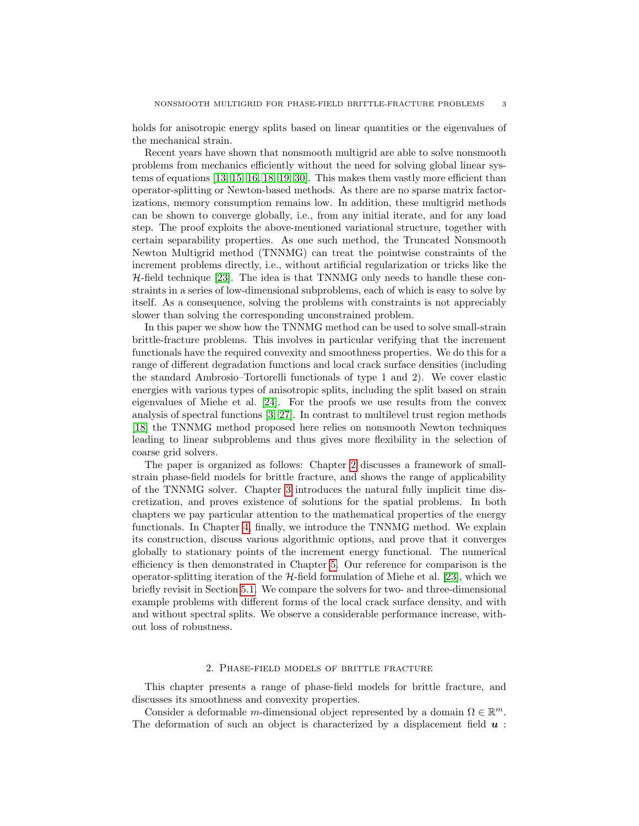holds for anisotropic energy splits based on linear quantities or the eigenvalues of the mechanical strain.

Recent years have shown that nonsmooth multigrid are able to solve nonsmooth problems from mechanics efficiently without the need for solving global linear systems of equations [\[13,](#page-38-6) [15,](#page-38-7) [16,](#page-38-8) [18,](#page-38-9) [19,](#page-38-10) [30\]](#page-39-10). This makes them vastly more efficient than operator-splitting or Newton-based methods. As there are no sparse matrix factorizations, memory consumption remains low. In addition, these multigrid methods can be shown to converge globally, i.e., from any initial iterate, and for any load step. The proof exploits the above-mentioned variational structure, together with certain separability properties. As one such method, the Truncated Nonsmooth Newton Multigrid method (TNNMG) can treat the pointwise constraints of the increment problems directly, i.e., without artificial regularization or tricks like the  $H$ -field technique [\[23\]](#page-39-1). The idea is that TNNMG only needs to handle these constraints in a series of low-dimensional subproblems, each of which is easy to solve by itself. As a consequence, solving the problems with constraints is not appreciably slower than solving the corresponding unconstrained problem.

In this paper we show how the TNNMG method can be used to solve small-strain brittle-fracture problems. This involves in particular verifying that the increment functionals have the required convexity and smoothness properties. We do this for a range of different degradation functions and local crack surface densities (including the standard Ambrosio–Tortorelli functionals of type 1 and 2). We cover elastic energies with various types of anisotropic splits, including the split based on strain eigenvalues of Miehe et al. [\[24\]](#page-39-0). For the proofs we use results from the convex analysis of spectral functions [\[3,](#page-35-2) [27\]](#page-39-11). In contrast to multilevel trust region methods [\[18\]](#page-38-9) the TNNMG method proposed here relies on nonsmooth Newton techniques leading to linear subproblems and thus gives more flexibility in the selection of coarse grid solvers.

The paper is organized as follows: Chapter [2](#page-2-0) discusses a framework of smallstrain phase-field models for brittle fracture, and shows the range of applicability of the TNNMG solver. Chapter [3](#page-10-0) introduces the natural fully implicit time discretization, and proves existence of solutions for the spatial problems. In both chapters we pay particular attention to the mathematical properties of the energy functionals. In Chapter [4,](#page-14-0) finally, we introduce the TNNMG method. We explain its construction, discuss various algorithmic options, and prove that it converges globally to stationary points of the increment energy functional. The numerical efficiency is then demonstrated in Chapter [5.](#page-19-0) Our reference for comparison is the operator-splitting iteration of the  $H$ -field formulation of Miehe et al. [\[23\]](#page-39-1), which we briefly revisit in Section [5.1.](#page-20-0) We compare the solvers for two- and three-dimensional example problems with different forms of the local crack surface density, and with and without spectral splits. We observe a considerable performance increase, without loss of robustness.

#### 2. Phase-field models of brittle fracture

<span id="page-2-0"></span>This chapter presents a range of phase-field models for brittle fracture, and discusses its smoothness and convexity properties.

Consider a deformable m-dimensional object represented by a domain  $\Omega \in \mathbb{R}^m$ . The deformation of such an object is characterized by a displacement field  $u$ :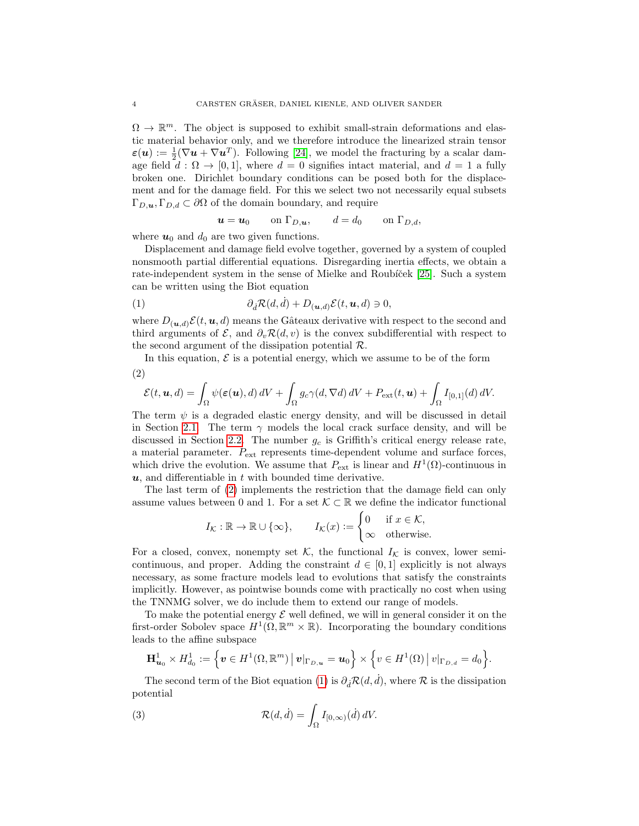$\Omega \to \mathbb{R}^m$ . The object is supposed to exhibit small-strain deformations and elastic material behavior only, and we therefore introduce the linearized strain tensor  $\varepsilon(\boldsymbol{u}) := \frac{1}{2}(\nabla \boldsymbol{u} + \nabla \boldsymbol{u}^T)$ . Following [\[24\]](#page-39-0), we model the fracturing by a scalar damage field  $d : \Omega \to [0,1]$ , where  $d = 0$  signifies intact material, and  $d = 1$  a fully broken one. Dirichlet boundary conditions can be posed both for the displacement and for the damage field. For this we select two not necessarily equal subsets  $\Gamma_{D,\mathbf{u}}, \Gamma_{D,d} \subset \partial\Omega$  of the domain boundary, and require

<span id="page-3-1"></span>
$$
\mathbf{u} = \mathbf{u}_0 \qquad \text{on } \Gamma_{D,\mathbf{u}}, \qquad d = d_0 \qquad \text{on } \Gamma_{D,d},
$$

where  $u_0$  and  $d_0$  are two given functions.

Displacement and damage field evolve together, governed by a system of coupled nonsmooth partial differential equations. Disregarding inertia effects, we obtain a rate-independent system in the sense of Mielke and Roubíček [\[25\]](#page-39-9). Such a system can be written using the Biot equation

(1) 
$$
\partial_{\dot{d}} \mathcal{R}(d, \dot{d}) + D_{(\mathbf{u}, d)} \mathcal{E}(t, \mathbf{u}, d) \ni 0,
$$

where  $D_{(u,d)}\mathcal{E}(t,u,d)$  means the Gâteaux derivative with respect to the second and third arguments of  $\mathcal{E}$ , and  $\partial_v \mathcal{R}(d, v)$  is the convex subdifferential with respect to the second argument of the dissipation potential R.

<span id="page-3-0"></span>In this equation,  $\mathcal E$  is a potential energy, which we assume to be of the form (2)

$$
\mathcal{E}(t, \boldsymbol{u}, d) = \int_{\Omega} \psi(\boldsymbol{\varepsilon}(\boldsymbol{u}), d) dV + \int_{\Omega} g_c \gamma(d, \nabla d) dV + P_{ext}(t, \boldsymbol{u}) + \int_{\Omega} I_{[0,1]}(d) dV.
$$

The term  $\psi$  is a degraded elastic energy density, and will be discussed in detail in Section [2.1.](#page-4-0) The term  $\gamma$  models the local crack surface density, and will be discussed in Section [2.2.](#page-9-0) The number  $g_c$  is Griffith's critical energy release rate, a material parameter. Pext represents time-dependent volume and surface forces, which drive the evolution. We assume that  $P_{\text{ext}}$  is linear and  $H^1(\Omega)$ -continuous in  $u$ , and differentiable in  $t$  with bounded time derivative.

The last term of [\(2\)](#page-3-0) implements the restriction that the damage field can only assume values between 0 and 1. For a set  $\mathcal{K} \subset \mathbb{R}$  we define the indicator functional

$$
I_{\mathcal{K}} : \mathbb{R} \to \mathbb{R} \cup \{\infty\}, \qquad I_{\mathcal{K}}(x) := \begin{cases} 0 & \text{if } x \in \mathcal{K}, \\ \infty & \text{otherwise.} \end{cases}
$$

For a closed, convex, nonempty set K, the functional  $I_K$  is convex, lower semicontinuous, and proper. Adding the constraint  $d \in [0,1]$  explicitly is not always necessary, as some fracture models lead to evolutions that satisfy the constraints implicitly. However, as pointwise bounds come with practically no cost when using the TNNMG solver, we do include them to extend our range of models.

To make the potential energy  $\mathcal E$  well defined, we will in general consider it on the first-order Sobolev space  $H^1(\Omega,\mathbb{R}^m\times\mathbb{R})$ . Incorporating the boundary conditions leads to the affine subspace

$$
\mathbf{H}_{\boldsymbol{u}_0}^1 \times H_{d_0}^1 := \left\{ \boldsymbol{v} \in H^1(\Omega, \mathbb{R}^m) \, \big| \, \boldsymbol{v} \big|_{\Gamma_{D,\boldsymbol{u}}} = \boldsymbol{u}_0 \right\} \times \left\{ v \in H^1(\Omega) \, \big| \, v \big|_{\Gamma_{D,d}} = d_0 \right\}.
$$

The second term of the Biot equation [\(1\)](#page-3-1) is  $\partial_i \mathcal{R}(d, d)$ , where R is the dissipation potential

<span id="page-3-2"></span>(3) 
$$
\mathcal{R}(d, \dot{d}) = \int_{\Omega} I_{[0,\infty)}(\dot{d}) dV.
$$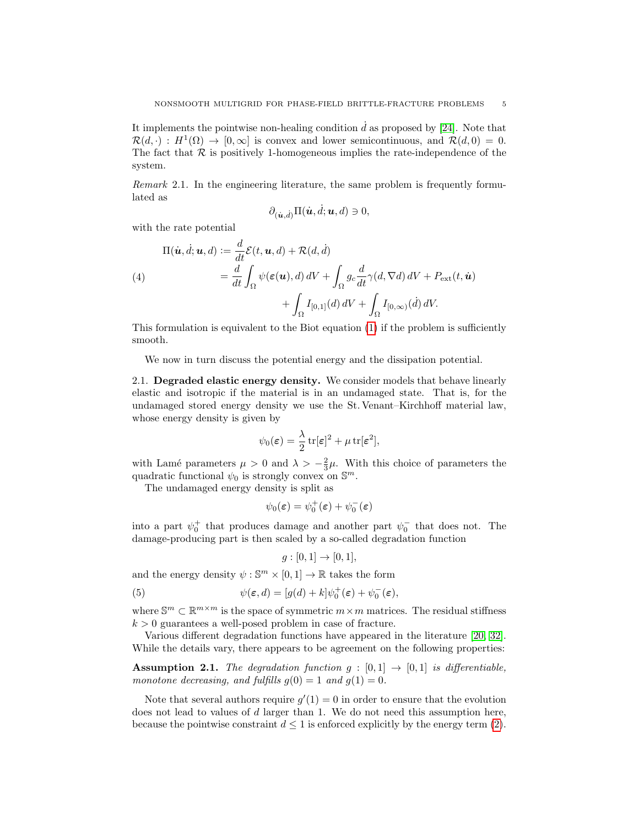It implements the pointwise non-healing condition  $\dot{d}$  as proposed by [\[24\]](#page-39-0). Note that  $\mathcal{R}(d, \cdot) : H^1(\Omega) \to [0, \infty]$  is convex and lower semicontinuous, and  $\mathcal{R}(d, 0) = 0$ . The fact that  $R$  is positively 1-homogeneous implies the rate-independence of the system.

Remark 2.1. In the engineering literature, the same problem is frequently formulated as

$$
\partial_{(\dot{\boldsymbol{u}},\dot{d})}\Pi(\dot{\boldsymbol{u}},\dot{d};\boldsymbol{u},d)\ni 0,
$$

with the rate potential

<span id="page-4-3"></span>(4)  
\n
$$
\Pi(\dot{\boldsymbol{u}}, \dot{d}; \boldsymbol{u}, d) := \frac{d}{dt} \mathcal{E}(t, \boldsymbol{u}, d) + \mathcal{R}(d, \dot{d})
$$
\n
$$
= \frac{d}{dt} \int_{\Omega} \psi(\boldsymbol{\varepsilon}(\boldsymbol{u}), d) dV + \int_{\Omega} g_c \frac{d}{dt} \gamma(d, \nabla d) dV + P_{\text{ext}}(t, \dot{\boldsymbol{u}})
$$
\n
$$
+ \int_{\Omega} I_{[0,1]}(d) dV + \int_{\Omega} I_{[0,\infty)}(\dot{d}) dV.
$$

This formulation is equivalent to the Biot equation [\(1\)](#page-3-1) if the problem is sufficiently smooth.

We now in turn discuss the potential energy and the dissipation potential.

<span id="page-4-0"></span>2.1. Degraded elastic energy density. We consider models that behave linearly elastic and isotropic if the material is in an undamaged state. That is, for the undamaged stored energy density we use the St. Venant–Kirchhoff material law, whose energy density is given by

$$
\psi_0(\varepsilon) = \frac{\lambda}{2} \operatorname{tr}[\varepsilon]^2 + \mu \operatorname{tr}[\varepsilon^2],
$$

with Lamé parameters  $\mu > 0$  and  $\lambda > -\frac{2}{3}\mu$ . With this choice of parameters the quadratic functional  $\psi_0$  is strongly convex on  $\mathbb{S}^m$ .

The undamaged energy density is split as

$$
\psi_0(\boldsymbol{\varepsilon}) = \psi_0^+(\boldsymbol{\varepsilon}) + \psi_0^-(\boldsymbol{\varepsilon})
$$

into a part  $\psi_0^+$  that produces damage and another part  $\psi_0^-$  that does not. The damage-producing part is then scaled by a so-called degradation function

<span id="page-4-2"></span>
$$
g: [0,1] \to [0,1],
$$

and the energy density  $\psi : \mathbb{S}^m \times [0,1] \to \mathbb{R}$  takes the form

(5) 
$$
\psi(\varepsilon, d) = [g(d) + k]\psi_0^+(\varepsilon) + \psi_0^-(\varepsilon),
$$

where  $\mathbb{S}^m \subset \mathbb{R}^{m \times m}$  is the space of symmetric  $m \times m$  matrices. The residual stiffness  $k > 0$  guarantees a well-posed problem in case of fracture.

Various different degradation functions have appeared in the literature [\[20,](#page-38-11) [32\]](#page-39-8). While the details vary, there appears to be agreement on the following properties:

<span id="page-4-1"></span>**Assumption 2.1.** The degradation function  $g : [0,1] \rightarrow [0,1]$  is differentiable, monotone decreasing, and fulfills  $g(0) = 1$  and  $g(1) = 0$ .

Note that several authors require  $g'(1) = 0$  in order to ensure that the evolution does not lead to values of d larger than 1. We do not need this assumption here, because the pointwise constraint  $d \leq 1$  is enforced explicitly by the energy term [\(2\)](#page-3-0).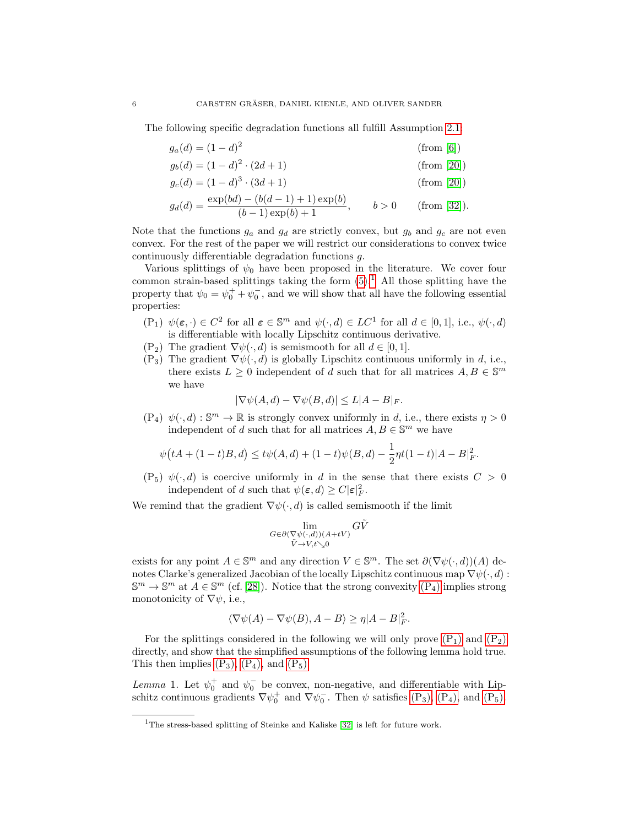The following specific degradation functions all fulfill Assumption [2.1:](#page-4-1)

$$
g_a(d) = (1 - d)^2
$$
 (from [6])

$$
g_b(d) = (1 - d)^2 \cdot (2d + 1)
$$
 (from [20])

$$
g_c(d) = (1 - d)^3 \cdot (3d + 1)
$$
 (from [20])

$$
g_d(d) = \frac{\exp(bd) - (b(d-1) + 1)\exp(b)}{(b-1)\exp(b) + 1}, \qquad b > 0 \qquad \text{(from [32])}.
$$

Note that the functions  $g_a$  and  $g_d$  are strictly convex, but  $g_b$  and  $g_c$  are not even convex. For the rest of the paper we will restrict our considerations to convex twice continuously differentiable degradation functions  $g$ .

Various splittings of  $\psi_0$  have been proposed in the literature. We cover four common strain-based splittings taking the form  $(5)$ .<sup>[1](#page-5-0)</sup> All those splitting have the property that  $\psi_0 = \psi_0^+ + \psi_0^-$ , and we will show that all have the following essential properties:

- <span id="page-5-2"></span> $(P_1)$   $\psi(\varepsilon, \cdot) \in C^2$  for all  $\varepsilon \in \mathbb{S}^m$  and  $\psi(\cdot, d) \in LC^1$  for all  $d \in [0, 1]$ , i.e.,  $\psi(\cdot, d)$ is differentiable with locally Lipschitz continuous derivative.
- <span id="page-5-3"></span> $(P_2)$  The gradient  $\nabla \psi(\cdot, d)$  is semismooth for all  $d \in [0, 1]$ .
- <span id="page-5-4"></span> $(P_3)$  The gradient  $\nabla \psi(\cdot, d)$  is globally Lipschitz continuous uniformly in d, i.e., there exists  $L \geq 0$  independent of d such that for all matrices  $A, B \in \mathbb{S}^m$ we have

$$
|\nabla \psi(A, d) - \nabla \psi(B, d)| \le L|A - B|_F.
$$

<span id="page-5-1"></span> $(P_4) \psi(\cdot, d) : \mathbb{S}^m \to \mathbb{R}$  is strongly convex uniformly in d, i.e., there exists  $\eta > 0$ independent of d such that for all matrices  $A, B \in \mathbb{S}^m$  we have

$$
\psi(tA + (1-t)B, d) \le t\psi(A, d) + (1-t)\psi(B, d) - \frac{1}{2}\eta t(1-t)|A - B|_F^2.
$$

<span id="page-5-5"></span> $(P_5)$   $\psi(\cdot, d)$  is coercive uniformly in d in the sense that there exists  $C > 0$ independent of d such that  $\psi(\varepsilon, d) \ge C |\varepsilon|_F^2$ .

We remind that the gradient  $\nabla \psi(\cdot, d)$  is called semismooth if the limit

$$
\lim_{\substack{G \in \partial(\nabla \psi(\cdot, d))(A + tV) \\ \tilde{V} \to V, t \searrow 0}} G\tilde{V}
$$

exists for any point  $A \in \mathbb{S}^m$  and any direction  $V \in \mathbb{S}^m$ . The set  $\partial(\nabla \psi(\cdot, d))(A)$  denotes Clarke's generalized Jacobian of the locally Lipschitz continuous map  $\nabla \psi(\cdot, d)$ :  $\mathbb{S}^m \to \mathbb{S}^m$  at  $A \in \mathbb{S}^m$  (cf. [\[28\]](#page-39-12)). Notice that the strong convexity  $(P_4)$  implies strong monotonicity of  $\nabla \psi$ , i.e.,

$$
\langle \nabla \psi(A) - \nabla \psi(B), A - B \rangle \ge \eta |A - B|_F^2.
$$

For the splittings considered in the following we will only prove  $(P_1)$  and  $(P_2)$ directly, and show that the simplified assumptions of the following lemma hold true. This then implies  $(P_3)$ ,  $(P_4)$ , and  $(P_5)$ .

<span id="page-5-6"></span>*Lemma* 1. Let  $\psi_0^+$  and  $\psi_0^-$  be convex, non-negative, and differentiable with Lipschitz continuous gradients  $\nabla \psi_0^+$  and  $\nabla \psi_0^-$ . Then  $\psi$  satisfies [\(P](#page-5-5)<sub>3</sub>), (P<sub>4</sub>), and (P<sub>5</sub>).

<span id="page-5-0"></span><sup>&</sup>lt;sup>1</sup>The stress-based splitting of Steinke and Kaliske [\[32\]](#page-39-8) is left for future work.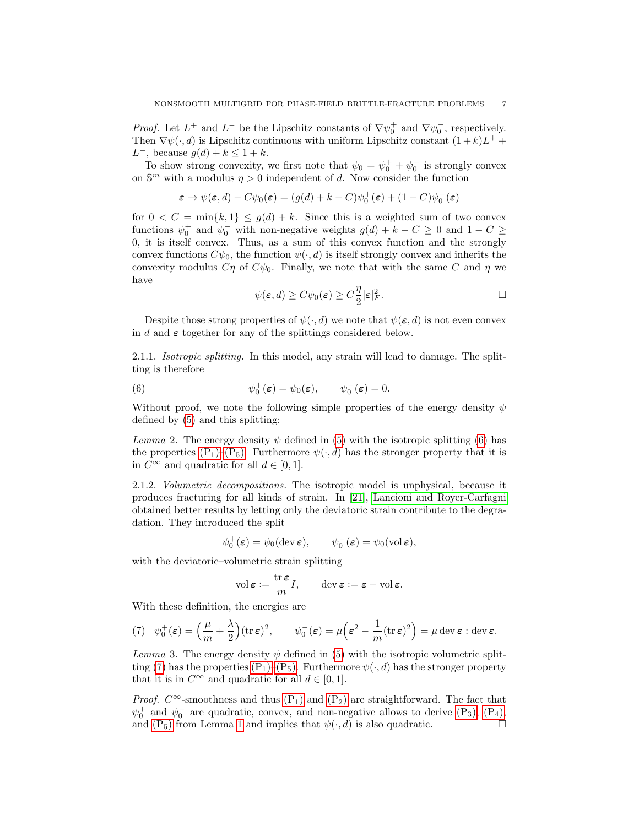*Proof.* Let  $L^+$  and  $L^-$  be the Lipschitz constants of  $\nabla \psi_0^+$  and  $\nabla \psi_0^-$ , respectively. Then  $\nabla \psi(\cdot, d)$  is Lipschitz continuous with uniform Lipschitz constant  $(1 + k)L^{+}$  + L<sup>-</sup>, because  $g(d) + k \leq 1 + k$ .

To show strong convexity, we first note that  $\psi_0 = \psi_0^+ + \psi_0^-$  is strongly convex on  $\mathbb{S}^m$  with a modulus  $\eta > 0$  independent of d. Now consider the function

$$
\boldsymbol{\varepsilon} \mapsto \psi(\boldsymbol{\varepsilon},d)-C\psi_0(\boldsymbol{\varepsilon})=(g(d)+k-C)\psi_0^+(\boldsymbol{\varepsilon})+(1-C)\psi_0^-(\boldsymbol{\varepsilon})
$$

for  $0 < C = \min\{k, 1\} \le g(d) + k$ . Since this is a weighted sum of two convex functions  $\psi_0^+$  and  $\psi_0^-$  with non-negative weights  $g(d) + k - C \geq 0$  and  $1 - C \geq$ 0, it is itself convex. Thus, as a sum of this convex function and the strongly convex functions  $C\psi_0$ , the function  $\psi(\cdot, d)$  is itself strongly convex and inherits the convexity modulus  $C\eta$  of  $C\psi_0$ . Finally, we note that with the same C and  $\eta$  we have

<span id="page-6-0"></span>
$$
\psi(\varepsilon, d) \ge C\psi_0(\varepsilon) \ge C\frac{\eta}{2} |\varepsilon|_F^2. \qquad \Box
$$

Despite those strong properties of  $\psi(\cdot, d)$  we note that  $\psi(\varepsilon, d)$  is not even convex in d and  $\varepsilon$  together for any of the splittings considered below.

2.1.1. Isotropic splitting. In this model, any strain will lead to damage. The splitting is therefore

(6) 
$$
\psi_0^+(\varepsilon) = \psi_0(\varepsilon), \qquad \psi_0^-(\varepsilon) = 0.
$$

Without proof, we note the following simple properties of the energy density  $\psi$ defined by [\(5\)](#page-4-2) and this splitting:

Lemma 2. The energy density  $\psi$  defined in [\(5\)](#page-4-2) with the isotropic splitting [\(6\)](#page-6-0) has the properties  $(P_1)$ – $(P_5)$ . Furthermore  $\psi(\cdot, d)$  has the stronger property that it is in  $C^{\infty}$  and quadratic for all  $d \in [0, 1]$ .

2.1.2. Volumetric decompositions. The isotropic model is unphysical, because it produces fracturing for all kinds of strain. In [\[21\]](#page-39-13), [Lancioni and Royer-Carfagni](#page-39-13) obtained better results by letting only the deviatoric strain contribute to the degradation. They introduced the split

$$
\psi_0^+(\varepsilon) = \psi_0(\text{dev}\,\varepsilon), \qquad \psi_0^-(\varepsilon) = \psi_0(\text{vol}\,\varepsilon),
$$

with the deviatoric–volumetric strain splitting

$$
\operatorname{vol} \boldsymbol{\varepsilon} := \frac{\operatorname{tr} \boldsymbol{\varepsilon}}{m} I, \qquad \operatorname{dev} \boldsymbol{\varepsilon} := \boldsymbol{\varepsilon} - \operatorname{vol} \boldsymbol{\varepsilon}.
$$

With these definition, the energies are

<span id="page-6-1"></span>(7) 
$$
\psi_0^+(\varepsilon) = \left(\frac{\mu}{m} + \frac{\lambda}{2}\right) (\text{tr}\,\varepsilon)^2
$$
,  $\psi_0^-(\varepsilon) = \mu \left(\varepsilon^2 - \frac{1}{m} (\text{tr}\,\varepsilon)^2\right) = \mu \text{ dev}\,\varepsilon : \text{dev}\,\varepsilon$ .

Lemma 3. The energy density  $\psi$  defined in [\(5\)](#page-4-2) with the isotropic volumetric split-ting [\(7\)](#page-6-1) has the properties [\(P](#page-5-2)<sub>1</sub>)[–\(P](#page-5-5)<sub>5</sub>). Furthermore  $\psi(\cdot, d)$  has the stronger property that it is in  $C^{\infty}$  and quadratic for all  $d \in [0, 1]$ .

*Proof.*  $C^{\infty}$ -smoothness and thus  $(P_1)$  and  $(P_2)$  are straightforward. The fact that  $\psi_0^+$  and  $\psi_0^-$  are quadratic, convex, and non-negative allows to derive  $(P_3)$ ,  $(P_4)$ , and  $(P_5)$  from Lemma [1](#page-5-6) and implies that  $\psi(\cdot, d)$  is also quadratic.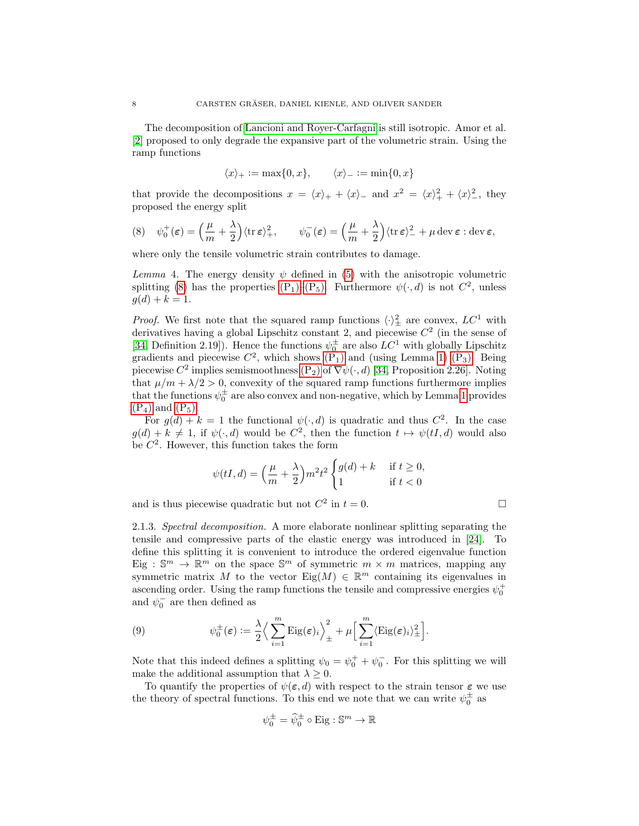The decomposition of [Lancioni and Royer-Carfagni](#page-39-13) is still isotropic. Amor et al. [\[2\]](#page-35-1) proposed to only degrade the expansive part of the volumetric strain. Using the ramp functions

$$
\langle x \rangle_+ := \max\{0, x\}, \qquad \langle x \rangle_- := \min\{0, x\}
$$

that provide the decompositions  $x = \langle x \rangle_+ + \langle x \rangle_-$  and  $x^2 = \langle x \rangle_+^2 + \langle x \rangle_-^2$ , they proposed the energy split

<span id="page-7-0"></span>(8) 
$$
\psi_0^+(\varepsilon) = \left(\frac{\mu}{m} + \frac{\lambda}{2}\right) \langle \text{tr}\,\varepsilon \rangle_+^2, \qquad \psi_0^-(\varepsilon) = \left(\frac{\mu}{m} + \frac{\lambda}{2}\right) \langle \text{tr}\,\varepsilon \rangle_-^2 + \mu \operatorname{dev}\varepsilon : \operatorname{dev}\varepsilon,
$$

where only the tensile volumetric strain contributes to damage.

Lemma 4. The energy density  $\psi$  defined in [\(5\)](#page-4-2) with the anisotropic volumetric splitting [\(8\)](#page-7-0) has the properties  $(P_1)$ – $(P_5)$ . Furthermore  $\psi(\cdot, d)$  is not  $C^2$ , unless  $q(d) + k = 1.$ 

*Proof.* We first note that the squared ramp functions  $\langle \cdot \rangle^2_{\pm}$  are convex,  $LC^1$  with derivatives having a global Lipschitz constant 2, and piecewise  $C<sup>2</sup>$  (in the sense of [\[34,](#page-39-14) Definition 2.19]). Hence the functions  $\psi_0^{\pm}$  are also  $LC^1$  with globally Lipschitz gradients and piecewise  $C^2$ , which shows  $(P_1)$  and (using Lemma [1\)](#page-5-6)  $(P_3)$ . Being piecewise  $C^2$  implies semismoothness  $(P_2)$  of  $\nabla \psi(\cdot, d)$  [\[34,](#page-39-14) Proposition 2.26]. Noting that  $\mu/m + \lambda/2 > 0$ , convexity of the squared ramp functions furthermore implies that the functions  $\psi_0^{\pm}$  are also convex and non-negative, which by Lemma [1](#page-5-6) provides  $(P_4)$  $(P_4)$  and  $(P_5)$ .

For  $g(d) + k = 1$  the functional  $\psi(\cdot, d)$  is quadratic and thus  $C^2$ . In the case  $g(d) + k \neq 1$ , if  $\psi(\cdot, d)$  would be  $C^2$ , then the function  $t \mapsto \psi(tI, d)$  would also be  $C^2$ . However, this function takes the form

$$
\psi(tI, d) = \left(\frac{\mu}{m} + \frac{\lambda}{2}\right) m^2 t^2 \begin{cases} g(d) + k & \text{if } t \ge 0, \\ 1 & \text{if } t < 0 \end{cases}
$$

and is thus piecewise quadratic but not  $C^2$  in  $t = 0$ .

2.1.3. Spectral decomposition. A more elaborate nonlinear splitting separating the tensile and compressive parts of the elastic energy was introduced in [\[24\]](#page-39-0). To define this splitting it is convenient to introduce the ordered eigenvalue function Eig :  $\mathbb{S}^m \to \mathbb{R}^m$  on the space  $\mathbb{S}^m$  of symmetric  $m \times m$  matrices, mapping any symmetric matrix M to the vector  $\text{Eig}(M) \in \mathbb{R}^m$  containing its eigenvalues in ascending order. Using the ramp functions the tensile and compressive energies  $\psi_0^+$ and  $\psi_0^-$  are then defined as

<span id="page-7-1"></span>(9) 
$$
\psi_0^{\pm}(\varepsilon) := \frac{\lambda}{2} \Big\langle \sum_{i=1}^m \mathrm{Eig}(\varepsilon)_i \Big\rangle_{\pm}^2 + \mu \Big[ \sum_{i=1}^m \langle \mathrm{Eig}(\varepsilon)_i \rangle_{\pm}^2 \Big].
$$

Note that this indeed defines a splitting  $\psi_0 = \psi_0^+ + \psi_0^-$ . For this splitting we will make the additional assumption that  $\lambda \geq 0$ .

To quantify the properties of  $\psi(\varepsilon, d)$  with respect to the strain tensor  $\varepsilon$  we use the theory of spectral functions. To this end we note that we can write  $\psi_0^{\pm}$  as

$$
\psi_0^{\pm} = \widehat{\psi}_0^{\pm} \circ \text{Eig} : \mathbb{S}^m \to \mathbb{R}
$$

$$
\Box
$$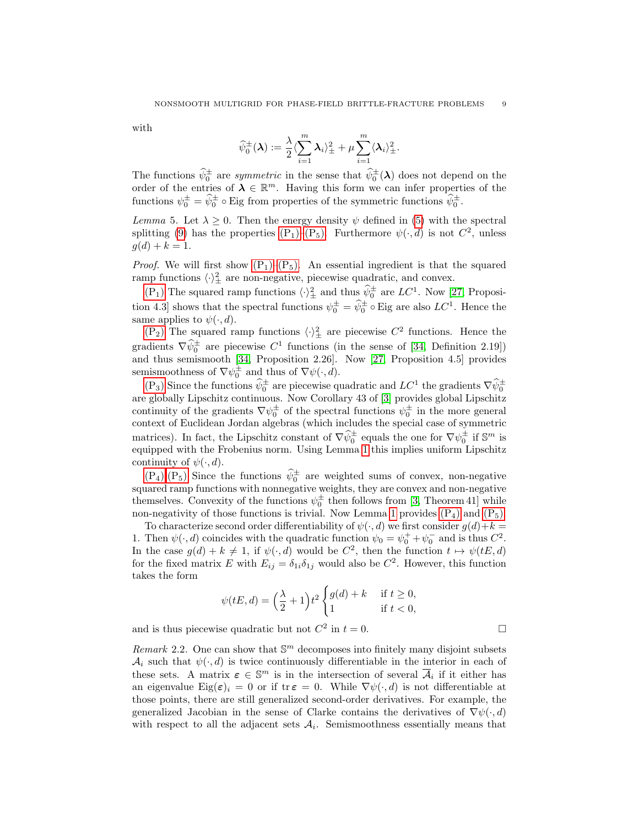with

$$
\widehat{\psi}^{\pm}_0(\pmb{\lambda}):=\frac{\lambda}{2}\langle\sum_{i=1}^m\pmb{\lambda}_i\rangle_{\pm}^2+\mu\sum_{i=1}^m\langle\pmb{\lambda}_i\rangle_{\pm}^2.
$$

The functions  $\widehat{\psi}^{\pm}_0$  are *symmetric* in the sense that  $\widehat{\psi}^{\pm}_0(\lambda)$  does not depend on the order of the entries of  $\lambda \in \mathbb{R}^m$ . Having this form we can infer properties of the functions  $\psi_0^{\pm} = \hat{\psi}_0^{\pm} \circ \text{Eig from properties of the symmetric functions } \hat{\psi}_0^{\pm}.$ 

Lemma 5. Let  $\lambda \geq 0$ . Then the energy density  $\psi$  defined in [\(5\)](#page-4-2) with the spectral splitting [\(9\)](#page-7-1) has the properties  $(P_1)$ – $(P_5)$ . Furthermore  $\psi(\cdot, d)$  is not  $C^2$ , unless  $g(d) + k = 1.$ 

*Proof.* We will first show  $(P_1)$ – $(P_5)$ . An essential ingredient is that the squared ramp functions  $\langle \cdot \rangle_{\pm}^2$  are non-negative, piecewise quadratic, and convex.

[\(P](#page-5-2)<sub>1</sub>) The squared ramp functions  $\langle \cdot \rangle_{\pm}^2$  and thus  $\hat{\psi}_0^{\pm}$  are  $LC^1$ . Now [\[27,](#page-39-11) Proposition 4.3] shows that the spectral functions  $\psi_0^{\pm} = \hat{\psi}_0^{\pm} \circ$  Eig are also  $LC^1$ . Hence the same applies to  $\psi(\cdot, d)$ .

 $(P_2)$  $(P_2)$  The squared ramp functions  $\langle \cdot \rangle_{\pm}^2$  are piecewise  $C^2$  functions. Hence the gradients  $\nabla \hat{\psi}^{\pm}$  are piecewise  $C^1$  functions (in the sense of [\[34,](#page-39-14) Definition 2.19]) and thus semismooth [\[34,](#page-39-14) Proposition 2.26]. Now [\[27,](#page-39-11) Proposition 4.5] provides semismoothness of  $\nabla \psi_{0}^{\pm}$  and thus of  $\nabla \psi(\cdot, d)$ .

 $(P_3)$  $(P_3)$  Since the functions  $\widehat{\psi}_0^{\pm}$  are piecewise quadratic and  $LC^1$  the gradients  $\nabla \widehat{\psi}_0^{\pm}$ are globally Lipschitz continuous. Now Corollary 43 of [\[3\]](#page-35-2) provides global Lipschitz continuity of the gradients  $\nabla \psi_0^{\pm}$  of the spectral functions  $\psi_0^{\pm}$  in the more general context of Euclidean Jordan algebras (which includes the special case of symmetric matrices). In fact, the Lipschitz constant of  $\nabla \hat{\psi}^{\pm}$  equals the one for  $\nabla \psi^{\pm}$  if  $\mathbb{S}^m$  is equipped with the Frobenius norm. Using Lemma [1](#page-5-6) this implies uniform Lipschitz continuity of  $\psi(\cdot, d)$ .

 $(P_4)$  $(P_4)$ ,  $(P_5)$  Since the functions  $\hat{\psi}_0^{\pm}$  are weighted sums of convex, non-negative squared ramp functions with nonnegative weights, they are convex and non-negative themselves. Convexity of the functions  $\psi_0^{\pm}$  then follows from [\[3,](#page-35-2) Theorem 41] while non-negativity of those functions is trivial. Now Lemma [1](#page-5-6) provides  $(P_4)$  and  $(P_5)$ .

To characterize second order differentiability of  $\psi(\cdot, d)$  we first consider  $g(d) + k =$ 1. Then  $\psi(\cdot, d)$  coincides with the quadratic function  $\psi_0 = \psi_0^+ + \psi_0^-$  and is thus  $C^2$ . In the case  $g(d) + k \neq 1$ , if  $\psi(\cdot, d)$  would be  $C^2$ , then the function  $t \mapsto \psi(tE, d)$ for the fixed matrix E with  $E_{ij} = \delta_{1i}\delta_{1j}$  would also be  $C^2$ . However, this function takes the form

$$
\psi(tE, d) = \left(\frac{\lambda}{2} + 1\right) t^2 \begin{cases} g(d) + k & \text{if } t \ge 0, \\ 1 & \text{if } t < 0, \end{cases}
$$

and is thus piecewise quadratic but not  $C^2$  in  $t = 0$ .

Remark 2.2. One can show that  $\mathbb{S}^m$  decomposes into finitely many disjoint subsets  $\mathcal{A}_i$  such that  $\psi(\cdot, d)$  is twice continuously differentiable in the interior in each of these sets. A matrix  $\boldsymbol{\varepsilon} \in \mathbb{S}^m$  is in the intersection of several  $\overline{\mathcal{A}}_i$  if it either has an eigenvalue Eig $(\varepsilon)_i = 0$  or if tr $\varepsilon = 0$ . While  $\nabla \psi(\cdot, d)$  is not differentiable at those points, there are still generalized second-order derivatives. For example, the generalized Jacobian in the sense of Clarke contains the derivatives of  $\nabla \psi(\cdot, d)$ with respect to all the adjacent sets  $A_i$ . Semismoothness essentially means that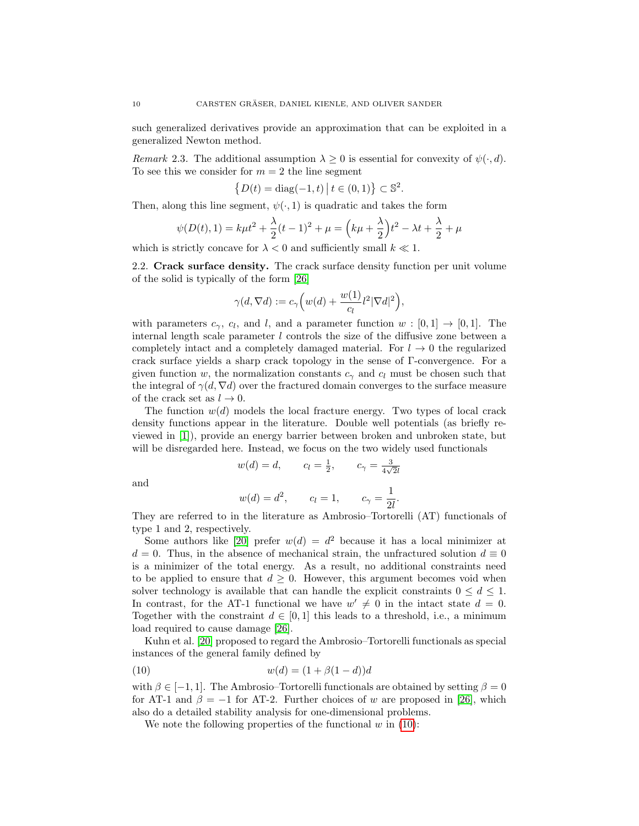such generalized derivatives provide an approximation that can be exploited in a generalized Newton method.

Remark 2.3. The additional assumption  $\lambda \geq 0$  is essential for convexity of  $\psi(\cdot, d)$ . To see this we consider for  $m = 2$  the line segment

$$
\{D(t) = \text{diag}(-1, t) \, | \, t \in (0, 1)\} \subset \mathbb{S}^2.
$$

Then, along this line segment,  $\psi(\cdot, 1)$  is quadratic and takes the form

$$
\psi(D(t), 1) = k\mu t^2 + \frac{\lambda}{2}(t - 1)^2 + \mu = (k\mu + \frac{\lambda}{2})t^2 - \lambda t + \frac{\lambda}{2} + \mu
$$

which is strictly concave for  $\lambda < 0$  and sufficiently small  $k \ll 1$ .

<span id="page-9-0"></span>2.2. Crack surface density. The crack surface density function per unit volume of the solid is typically of the form [\[26\]](#page-39-15)

$$
\gamma(d,\nabla d) := c_{\gamma}\Big(w(d) + \frac{w(1)}{c_l}l^2|\nabla d|^2\Big),\,
$$

with parameters  $c_{\gamma}$ ,  $c_{l}$ , and l, and a parameter function  $w : [0,1] \rightarrow [0,1]$ . The internal length scale parameter  $l$  controls the size of the diffusive zone between a completely intact and a completely damaged material. For  $l \to 0$  the regularized crack surface yields a sharp crack topology in the sense of Γ-convergence. For a given function w, the normalization constants  $c<sub>\gamma</sub>$  and  $c<sub>l</sub>$  must be chosen such that the integral of  $\gamma(d, \nabla d)$  over the fractured domain converges to the surface measure of the crack set as  $l \to 0$ .

The function  $w(d)$  models the local fracture energy. Two types of local crack density functions appear in the literature. Double well potentials (as briefly reviewed in [\[1\]](#page-35-0)), provide an energy barrier between broken and unbroken state, but will be disregarded here. Instead, we focus on the two widely used functionals

$$
w(d) = d,
$$
  $c_l = \frac{1}{2},$   $c_\gamma = \frac{3}{4\sqrt{2}l}$ 

and

$$
w(d) = d^2
$$
,  $c_l = 1$ ,  $c_\gamma = \frac{1}{2l}$ .

They are referred to in the literature as Ambrosio–Tortorelli (AT) functionals of type 1 and 2, respectively.

Some authors like [\[20\]](#page-38-11) prefer  $w(d) = d^2$  because it has a local minimizer at  $d = 0$ . Thus, in the absence of mechanical strain, the unfractured solution  $d \equiv 0$ is a minimizer of the total energy. As a result, no additional constraints need to be applied to ensure that  $d \geq 0$ . However, this argument becomes void when solver technology is available that can handle the explicit constraints  $0 \leq d \leq 1$ . In contrast, for the AT-1 functional we have  $w' \neq 0$  in the intact state  $d = 0$ . Together with the constraint  $d \in [0,1]$  this leads to a threshold, i.e., a minimum load required to cause damage [\[26\]](#page-39-15).

Kuhn et al. [\[20\]](#page-38-11) proposed to regard the Ambrosio–Tortorelli functionals as special instances of the general family defined by

<span id="page-9-1"></span>(10) 
$$
w(d) = (1 + \beta(1 - d))d
$$

with  $\beta \in [-1, 1]$ . The Ambrosio–Tortorelli functionals are obtained by setting  $\beta = 0$ for AT-1 and  $\beta = -1$  for AT-2. Further choices of w are proposed in [\[26\]](#page-39-15), which also do a detailed stability analysis for one-dimensional problems.

We note the following properties of the functional  $w$  in [\(10\)](#page-9-1):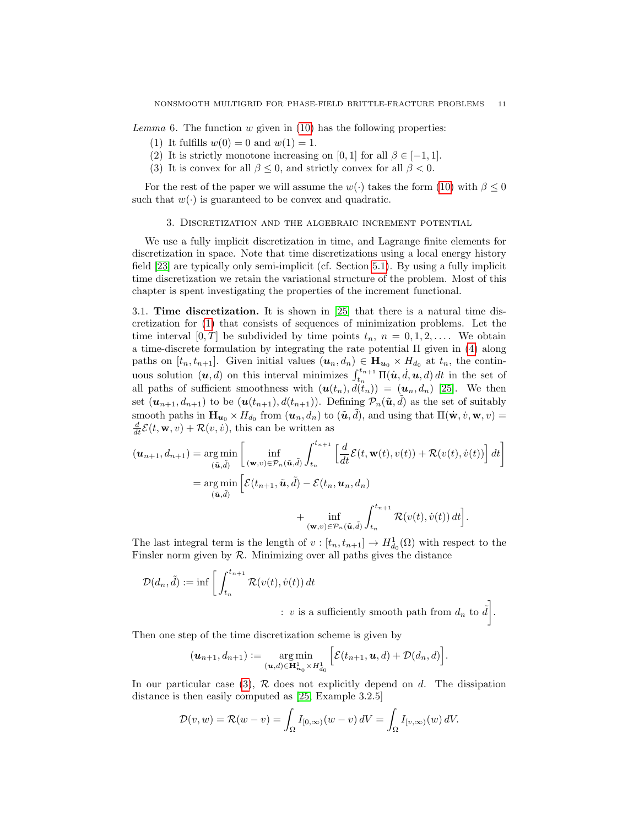Lemma 6. The function  $w$  given in [\(10\)](#page-9-1) has the following properties:

- (1) It fulfills  $w(0) = 0$  and  $w(1) = 1$ .
- (2) It is strictly monotone increasing on [0, 1] for all  $\beta \in [-1, 1]$ .
- (3) It is convex for all  $\beta$  < 0, and strictly convex for all  $\beta$  < 0.

For the rest of the paper we will assume the  $w(\cdot)$  takes the form [\(10\)](#page-9-1) with  $\beta \leq 0$ such that  $w(\cdot)$  is guaranteed to be convex and quadratic.

### 3. Discretization and the algebraic increment potential

<span id="page-10-0"></span>We use a fully implicit discretization in time, and Lagrange finite elements for discretization in space. Note that time discretizations using a local energy history field [\[23\]](#page-39-1) are typically only semi-implicit (cf. Section [5.1\)](#page-20-0). By using a fully implicit time discretization we retain the variational structure of the problem. Most of this chapter is spent investigating the properties of the increment functional.

<span id="page-10-1"></span>3.1. Time discretization. It is shown in [\[25\]](#page-39-9) that there is a natural time discretization for [\(1\)](#page-3-1) that consists of sequences of minimization problems. Let the time interval  $[0, T]$  be subdivided by time points  $t_n$ ,  $n = 0, 1, 2, \ldots$ . We obtain a time-discrete formulation by integrating the rate potential  $\Pi$  given in [\(4\)](#page-4-3) along paths on  $[t_n, t_{n+1}]$ . Given initial values  $(\mathbf{u}_n, d_n) \in \mathbf{H}_{\mathbf{u}_0} \times H_{d_0}$  at  $t_n$ , the continuous solution  $(u, d)$  on this interval minimizes  $\int_{t_n}^{t_{n+1}} \Pi(u, d, u, d) dt$  in the set of all paths of sufficient smoothness with  $(u(t_n), d(t_n)) = (u_n, d_n)$  [\[25\]](#page-39-9). We then set  $(\mathbf{u}_{n+1}, d_{n+1})$  to be  $(\mathbf{u}(t_{n+1}), d(t_{n+1}))$ . Defining  $\mathcal{P}_n(\tilde{\mathbf{u}}, \tilde{d})$  as the set of suitably smooth paths in  $\mathbf{H}_{u_0} \times H_{d_0}$  from  $(u_n, d_n)$  to  $(\tilde{u}, \tilde{d})$ , and using that  $\Pi(\dot{\mathbf{w}}, \dot{v}, \mathbf{w}, v) =$  $\frac{d}{dt}\mathcal{E}(t, \mathbf{w}, v) + \mathcal{R}(v, \dot{v}),$  this can be written as

$$
(\mathbf{u}_{n+1}, d_{n+1}) = \underset{(\tilde{\mathbf{u}}, \tilde{d})}{\arg \min} \left[ \underset{(\tilde{\mathbf{u}}, \tilde{d})}{\inf} \left[ \underset{(\mathbf{w}, v) \in \mathcal{P}_n(\tilde{\mathbf{u}}, \tilde{d})}{\inf} \int_{t_n}^{t_{n+1}} \left[ \frac{d}{dt} \mathcal{E}(t, \mathbf{w}(t), v(t)) + \mathcal{R}(v(t), \dot{v}(t)) \right] dt \right] = \underset{(\tilde{\mathbf{u}}, \tilde{d})}{\arg \min} \left[ \mathcal{E}(t_{n+1}, \tilde{\mathbf{u}}, \tilde{d}) - \mathcal{E}(t_n, \mathbf{u}_n, d_n) \right. + \underset{(\mathbf{w}, v) \in \mathcal{P}_n(\tilde{\mathbf{u}}, \tilde{d})}{\inf} \int_{t_n}^{t_{n+1}} \mathcal{R}(v(t), \dot{v}(t)) dt \right].
$$

The last integral term is the length of  $v : [t_n, t_{n+1}] \to H^1_{d_0}(\Omega)$  with respect to the Finsler norm given by  $R$ . Minimizing over all paths gives the distance

$$
\mathcal{D}(d_n, \tilde{d}) := \inf \left[ \int_{t_n}^{t_{n+1}} \mathcal{R}(v(t), \dot{v}(t)) dt \right]
$$
  
  $\therefore v$  is a sufficiently smooth path from  $d_n$  to  $\tilde{d}$ .

Then one step of the time discretization scheme is given by

$$
(\boldsymbol{u}_{n+1},d_{n+1}):=\underset{(\boldsymbol{u},d)\in\mathbf{H}_{\boldsymbol{u}_0}^1\times H_{d_0}^1}{\arg\min}\left[\mathcal{E}(t_{n+1},\boldsymbol{u},d)+\mathcal{D}(d_n,d)\right].
$$

In our particular case [\(3\)](#page-3-2),  $\mathcal R$  does not explicitly depend on d. The dissipation distance is then easily computed as [\[25,](#page-39-9) Example 3.2.5]

$$
\mathcal{D}(v, w) = \mathcal{R}(w - v) = \int_{\Omega} I_{[0,\infty)}(w - v) dV = \int_{\Omega} I_{[v,\infty)}(w) dV.
$$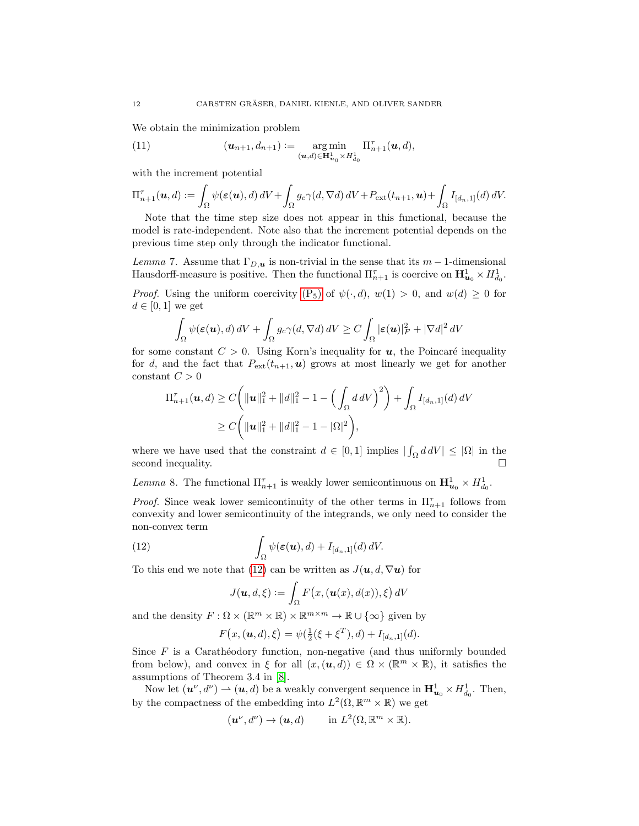We obtain the minimization problem

<span id="page-11-1"></span>(11) 
$$
(\mathbf{u}_{n+1}, d_{n+1}) := \underset{(\mathbf{u}, d) \in \mathbf{H}_{\mathbf{u}_0}^1 \times H_{d_0}^1}{\arg \min} \Pi_{n+1}^{\tau}(\mathbf{u}, d),
$$

with the increment potential

$$
\Pi_{n+1}^{\tau}(\boldsymbol{u},d) := \int_{\Omega} \psi(\boldsymbol{\varepsilon}(\boldsymbol{u}),d) \, dV + \int_{\Omega} g_c \gamma(d,\nabla d) \, dV + P_{\text{ext}}(t_{n+1},\boldsymbol{u}) + \int_{\Omega} I_{[d_n,1]}(d) \, dV.
$$

Note that the time step size does not appear in this functional, because the model is rate-independent. Note also that the increment potential depends on the previous time step only through the indicator functional.

<span id="page-11-2"></span>Lemma 7. Assume that  $\Gamma_{D,\mathbf{u}}$  is non-trivial in the sense that its m – 1-dimensional Hausdorff-measure is positive. Then the functional  $\Pi_{n+1}^{\tau}$  is coercive on  $\mathbf{H}_{u_0}^1 \times H_{d_0}^1$ .

*Proof.* Using the uniform coercivity  $(P_5)$  of  $\psi(\cdot, d)$ ,  $w(1) > 0$ , and  $w(d) \geq 0$  for  $d \in [0,1]$  we get

$$
\int_{\Omega} \psi(\boldsymbol{\varepsilon}(\boldsymbol{u}), d) \, dV + \int_{\Omega} g_c \gamma(d, \nabla d) \, dV \ge C \int_{\Omega} |\boldsymbol{\varepsilon}(\boldsymbol{u})|_F^2 + |\nabla d|^2 \, dV
$$

for some constant  $C > 0$ . Using Korn's inequality for **u**, the Poincaré inequality for d, and the fact that  $P_{ext}(t_{n+1}, u)$  grows at most linearly we get for another constant  ${\cal C}>0$ 

$$
\Pi_{n+1}^{\tau}(\boldsymbol{u},d) \ge C\bigg(\|\boldsymbol{u}\|_{1}^{2} + \|d\|_{1}^{2} - 1 - \Big(\int_{\Omega} d\,dV\Big)^{2}\bigg) + \int_{\Omega} I_{[d_{n},1]}(d)\,dV
$$
  
\n
$$
\ge C\bigg(\|\boldsymbol{u}\|_{1}^{2} + \|d\|_{1}^{2} - 1 - |\Omega|^{2}\bigg),
$$

where we have used that the constraint  $d \in [0,1]$  implies  $|\int_{\Omega} d dV| \leq |\Omega|$  in the second inequality.  $\hfill \square$ 

Lemma 8. The functional  $\Pi_{n+1}^{\tau}$  is weakly lower semicontinuous on  $\mathbf{H}_{u_0}^1 \times H_{d_0}^1$ .

*Proof.* Since weak lower semicontinuity of the other terms in  $\Pi_{n+1}^{\tau}$  follows from convexity and lower semicontinuity of the integrands, we only need to consider the non-convex term

<span id="page-11-0"></span>(12) 
$$
\int_{\Omega} \psi(\boldsymbol{\varepsilon}(\boldsymbol{u}), d) + I_{[d_n, 1]}(d) dV.
$$

To this end we note that [\(12\)](#page-11-0) can be written as  $J(\mathbf{u}, d, \nabla \mathbf{u})$  for

$$
J(\boldsymbol{u},d,\xi) := \int_{\Omega} F(x,(\boldsymbol{u}(x),d(x)),\xi) dV
$$

and the density  $F: \Omega \times (\mathbb{R}^m \times \mathbb{R}) \times \mathbb{R}^{m \times m} \to \mathbb{R} \cup {\infty}$  given by

$$
F(x, (\mathbf{u}, d), \xi) = \psi(\frac{1}{2}(\xi + \xi^{T}), d) + I_{[d_n, 1]}(d).
$$

Since  $F$  is a Caratheodory function, non-negative (and thus uniformly bounded from below), and convex in ξ for all  $(x, (\boldsymbol{u}, d)) \in \Omega \times (\mathbb{R}^m \times \mathbb{R})$ , it satisfies the assumptions of Theorem 3.4 in [\[8\]](#page-38-13).

Now let  $(\boldsymbol{u}^{\nu}, d^{\nu}) \rightarrow (\boldsymbol{u}, d)$  be a weakly convergent sequence in  $\mathbf{H}^1_{\boldsymbol{u}_0} \times H^1_{d_0}$ . Then, by the compactness of the embedding into  $L^2(\Omega, \mathbb{R}^m \times \mathbb{R})$  we get

$$
(\mathbf{u}^{\nu}, d^{\nu}) \to (\mathbf{u}, d) \quad \text{in } L^2(\Omega, \mathbb{R}^m \times \mathbb{R}).
$$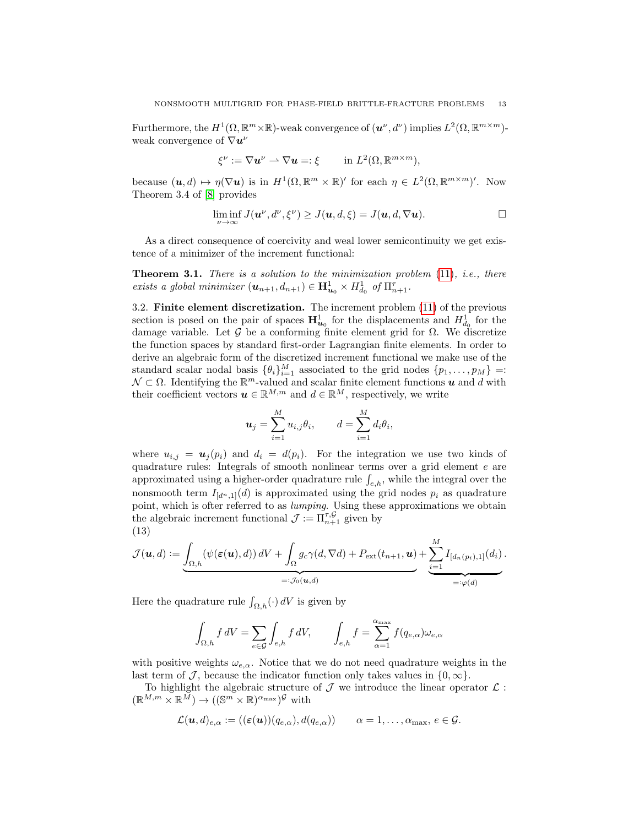Furthermore, the  $H^1(\Omega,\mathbb{R}^m\times\mathbb{R})$ -weak convergence of  $(u^{\nu}, d^{\nu})$  implies  $L^2(\Omega,\mathbb{R}^{m\times m})$ weak convergence of  $\nabla u^{\nu}$ 

$$
\xi^{\nu} := \nabla \mathbf{u}^{\nu} \rightharpoonup \nabla \mathbf{u} =: \xi \quad \text{in } L^2(\Omega, \mathbb{R}^{m \times m}),
$$

because  $(\boldsymbol{u}, d) \mapsto \eta(\nabla \boldsymbol{u})$  is in  $H^1(\Omega, \mathbb{R}^m \times \mathbb{R})'$  for each  $\eta \in L^2(\Omega, \mathbb{R}^{m \times m})'$ . Now Theorem 3.4 of [\[8\]](#page-38-13) provides

$$
\liminf_{\nu \to \infty} J(\mathbf{u}^{\nu}, d^{\nu}, \xi^{\nu}) \geq J(\mathbf{u}, d, \xi) = J(\mathbf{u}, d, \nabla \mathbf{u}).
$$

As a direct consequence of coercivity and weal lower semicontinuity we get existence of a minimizer of the increment functional:

**Theorem 3.1.** There is a solution to the minimization problem  $(11)$ , i.e., there exists a global minimizer  $(\mathbf{u}_{n+1}, d_{n+1}) \in \mathbf{H}^1_{\mathbf{u}_0} \times H^1_{d_0}$  of  $\Pi_{n+1}^{\tau}$ .

3.2. Finite element discretization. The increment problem [\(11\)](#page-11-1) of the previous section is posed on the pair of spaces  $\mathbf{H}^1_{u_0}$  for the displacements and  $H^1_{d_0}$  for the damage variable. Let G be a conforming finite element grid for  $\Omega$ . We discretize the function spaces by standard first-order Lagrangian finite elements. In order to derive an algebraic form of the discretized increment functional we make use of the standard scalar nodal basis  $\{\theta_i\}_{i=1}^M$  associated to the grid nodes  $\{p_1, \ldots, p_M\}$  =:  $\mathcal{N} \subset \Omega$ . Identifying the  $\mathbb{R}^m$ -valued and scalar finite element functions  $\boldsymbol{u}$  and  $d$  with their coefficient vectors  $u \in \mathbb{R}^{M,m}$  and  $d \in \mathbb{R}^M$ , respectively, we write

$$
\boldsymbol{u}_j = \sum_{i=1}^M u_{i,j} \theta_i, \qquad d = \sum_{i=1}^M d_i \theta_i,
$$

where  $u_{i,j} = \mathbf{u}_j(p_i)$  and  $d_i = d(p_i)$ . For the integration we use two kinds of quadrature rules: Integrals of smooth nonlinear terms over a grid element e are approximated using a higher-order quadrature rule  $\int_{e,h}$ , while the integral over the nonsmooth term  $I_{[d^n,1]}(d)$  is approximated using the grid nodes  $p_i$  as quadrature point, which is ofter referred to as lumping. Using these approximations we obtain the algebraic increment functional  $\mathcal{J} := \prod_{n+1}^{\tau, \mathcal{G}}$  given by (13)

<span id="page-12-0"></span>
$$
\mathcal{J}(\boldsymbol{u},d) := \underbrace{\int_{\Omega,h} (\psi(\boldsymbol{\varepsilon}(\boldsymbol{u}),d)) \, dV + \int_{\Omega} g_c \gamma(d,\nabla d) + P_{\text{ext}}(t_{n+1},\boldsymbol{u})}_{=: \mathcal{J}_0(\boldsymbol{u},d)} + \underbrace{\sum_{i=1}^M I_{[d_n(p_i),1]}(d_i)}_{=: \varphi(d)}.
$$

Here the quadrature rule  $\int_{\Omega,h}(\cdot) dV$  is given by

$$
\int_{\Omega,h} f \, dV = \sum_{e \in \mathcal{G}} \int_{e,h} f \, dV, \qquad \int_{e,h} f = \sum_{\alpha=1}^{\alpha_{\max}} f(q_{e,\alpha}) \omega_{e,\alpha}
$$

with positive weights  $\omega_{e,\alpha}$ . Notice that we do not need quadrature weights in the last term of J, because the indicator function only takes values in  $\{0,\infty\}$ .

To highlight the algebraic structure of  $\mathcal J$  we introduce the linear operator  $\mathcal L$ :  $(\mathbb{R}^{M,m}\times\mathbb{R}^{\tilde{M}})\to ((\mathbb{S}^m\times\mathbb{R})^{\alpha_{\max}})^{\mathcal{G}}$  with

$$
\mathcal{L}(\boldsymbol{u},d)_{e,\alpha} := ((\boldsymbol{\varepsilon}(\boldsymbol{u}))(q_{e,\alpha}),d(q_{e,\alpha})) \qquad \alpha = 1,\ldots,\alpha_{\max},\, e \in \mathcal{G}.
$$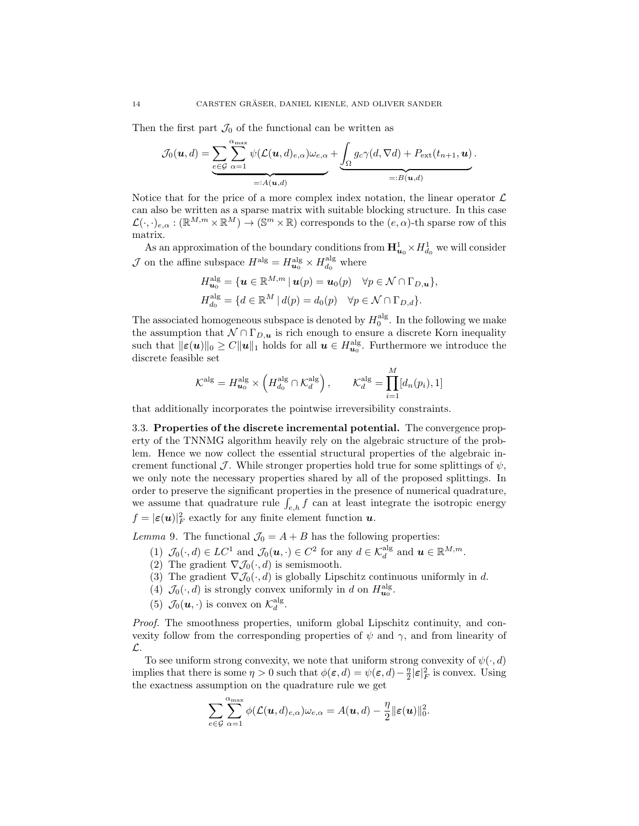Then the first part  $\mathcal{J}_0$  of the functional can be written as

$$
\mathcal{J}_0(\boldsymbol{u},d) = \underbrace{\sum_{e \in \mathcal{G}} \sum_{\alpha=1}^{\alpha_{\max}} \psi(\mathcal{L}(\boldsymbol{u},d)_{e,\alpha}) \omega_{e,\alpha}}_{=:A(\boldsymbol{u},d)} + \underbrace{\int_{\Omega} g_c \gamma(d,\nabla d) + P_{\text{ext}}(t_{n+1},\boldsymbol{u})}_{=:B(\boldsymbol{u},d)}.
$$

Notice that for the price of a more complex index notation, the linear operator  $\mathcal L$ can also be written as a sparse matrix with suitable blocking structure. In this case  $\mathcal{L}(\cdot,\cdot)_{e,\alpha}: (\mathbb{R}^{M,m}\times \mathbb{R}^M) \to (\mathbb{S}^m\times \mathbb{R})$  corresponds to the  $(e,\alpha)$ -th sparse row of this matrix.

As an approximation of the boundary conditions from  $\mathbf{H}^1_{u_0} \times H^1_{d_0}$  we will consider  $\mathcal J$  on the affine subspace  $H^{\mathrm{alg}} = H^{\mathrm{alg}}_{\mathbf{u}_0} \times H^{\mathrm{alg}}_{d_0}$  where

$$
H_{\mathbf{u}_0}^{\text{alg}} = \{ \mathbf{u} \in \mathbb{R}^{M,m} \mid \mathbf{u}(p) = \mathbf{u}_0(p) \quad \forall p \in \mathcal{N} \cap \Gamma_{D,\mathbf{u}} \},
$$
  

$$
H_{d_0}^{\text{alg}} = \{ d \in \mathbb{R}^M \mid d(p) = d_0(p) \quad \forall p \in \mathcal{N} \cap \Gamma_{D,d} \}.
$$

The associated homogeneous subspace is denoted by  $H_0^{\text{alg}}$ . In the following we make the assumption that  $N \cap \Gamma_{D,\mu}$  is rich enough to ensure a discrete Korn inequality such that  $\|\varepsilon(u)\|_0 \geq C \|u\|_1$  holds for all  $u \in H_{u_0}^{\text{alg}}$ . Furthermore we introduce the discrete feasible set

$$
\mathcal{K}^{\mathrm{alg}} = H^{\mathrm{alg}}_{\mathbf{u}_0} \times \left( H^{\mathrm{alg}}_{d_0} \cap \mathcal{K}^{\mathrm{alg}}_{d} \right), \qquad \mathcal{K}^{\mathrm{alg}}_{d} = \prod_{i=1}^{M} [d_n(p_i), 1]
$$

that additionally incorporates the pointwise irreversibility constraints.

3.3. Properties of the discrete incremental potential. The convergence property of the TNNMG algorithm heavily rely on the algebraic structure of the problem. Hence we now collect the essential structural properties of the algebraic increment functional J. While stronger properties hold true for some splittings of  $\psi$ , we only note the necessary properties shared by all of the proposed splittings. In order to preserve the significant properties in the presence of numerical quadrature, we assume that quadrature rule  $\int_{e,h} f$  can at least integrate the isotropic energy  $f = |\varepsilon(\boldsymbol{u})|^2_F$  exactly for any finite element function  $\boldsymbol{u}$ .

<span id="page-13-0"></span>Lemma 9. The functional  $\mathcal{J}_0 = A + B$  has the following properties:

- (1)  $\mathcal{J}_0(\cdot, d) \in LC^1$  and  $\mathcal{J}_0(\boldsymbol{u}, \cdot) \in C^2$  for any  $d \in \mathcal{K}_d^{\text{alg}}$  and  $\boldsymbol{u} \in \mathbb{R}^{M,m}$ .
- (2) The gradient  $\nabla \mathcal{J}_0(\cdot, d)$  is semismooth.
- (3) The gradient  $\nabla \mathcal{J}_0(\cdot, d)$  is globally Lipschitz continuous uniformly in d.
- (4)  $\mathcal{J}_0(\cdot, d)$  is strongly convex uniformly in d on  $H^{\text{alg}}_{\mathbf{u}_0}$ .
- (5)  $\mathcal{J}_0(\boldsymbol{u},\cdot)$  is convex on  $\mathcal{K}_d^{\text{alg}}$ .

Proof. The smoothness properties, uniform global Lipschitz continuity, and convexity follow from the corresponding properties of  $\psi$  and  $\gamma$ , and from linearity of L.

To see uniform strong convexity, we note that uniform strong convexity of  $\psi(\cdot, d)$ implies that there is some  $\eta > 0$  such that  $\phi(\varepsilon, d) = \psi(\varepsilon, d) - \frac{\eta}{2} |\varepsilon|_F^2$  is convex. Using the exactness assumption on the quadrature rule we get

$$
\sum_{e \in \mathcal{G}} \sum_{\alpha=1}^{\alpha_{\max}} \phi(\mathcal{L}(\boldsymbol{u},d)_{e,\alpha}) \omega_{e,\alpha} = A(\boldsymbol{u},d) - \frac{\eta}{2} ||\boldsymbol{\varepsilon}(\boldsymbol{u})||_0^2.
$$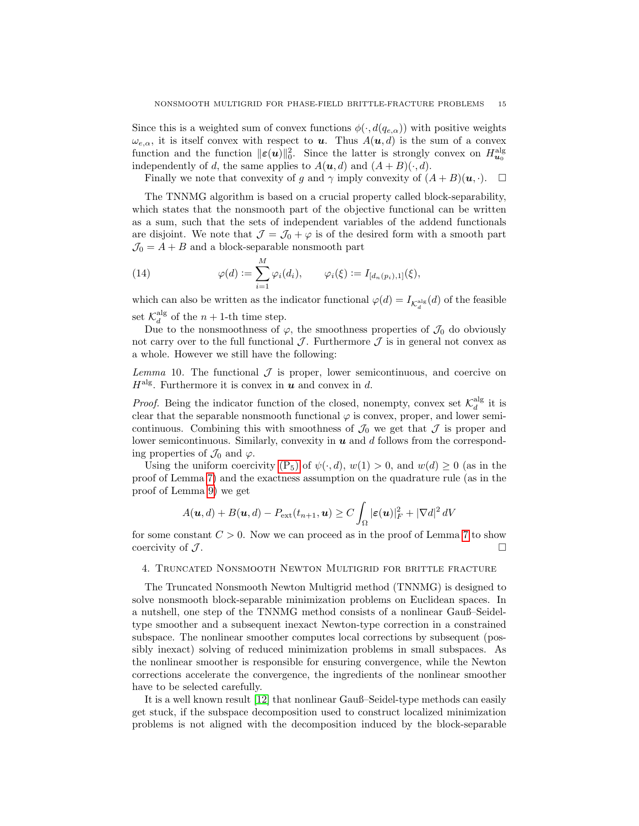Since this is a weighted sum of convex functions  $\phi(\cdot, d(q_{e,\alpha}))$  with positive weights  $\omega_{e,\alpha}$ , it is itself convex with respect to **u**. Thus  $A(\mathbf{u}, d)$  is the sum of a convex function and the function  $\|\varepsilon(u)\|_0^2$ . Since the latter is strongly convex on  $H^{\text{alg}}_{\mathbf{u}_0}$ independently of d, the same applies to  $A(\mathbf{u}, d)$  and  $(A + B)(\cdot, d)$ .

Finally we note that convexity of g and  $\gamma$  imply convexity of  $(A + B)(u, \cdot)$ .  $\Box$ 

The TNNMG algorithm is based on a crucial property called block-separability, which states that the nonsmooth part of the objective functional can be written as a sum, such that the sets of independent variables of the addend functionals are disjoint. We note that  $\mathcal{J} = \mathcal{J}_0 + \varphi$  is of the desired form with a smooth part  $\mathcal{J}_0 = A + B$  and a block-separable nonsmooth part

<span id="page-14-1"></span>(14) 
$$
\varphi(d) := \sum_{i=1}^{M} \varphi_i(d_i), \qquad \varphi_i(\xi) := I_{[d_n(p_i),1]}(\xi),
$$

which can also be written as the indicator functional  $\varphi(d) = I_{\mathcal{K}_d^{\text{alg}}}(d)$  of the feasible set  $\mathcal{K}_d^{\text{alg}}$  of the  $n + 1$ -th time step.

Due to the nonsmoothness of  $\varphi$ , the smoothness properties of  $\mathcal{J}_0$  do obviously not carry over to the full functional  $\mathcal J$ . Furthermore  $\mathcal J$  is in general not convex as a whole. However we still have the following:

<span id="page-14-2"></span>Lemma 10. The functional  $\mathcal J$  is proper, lower semicontinuous, and coercive on  $H^{\text{alg}}$ . Furthermore it is convex in u and convex in d.

*Proof.* Being the indicator function of the closed, nonempty, convex set  $\mathcal{K}_d^{\text{alg}}$  it is clear that the separable nonsmooth functional  $\varphi$  is convex, proper, and lower semicontinuous. Combining this with smoothness of  $\mathcal{J}_0$  we get that  $\mathcal J$  is proper and lower semicontinuous. Similarly, convexity in  $u$  and  $d$  follows from the corresponding properties of  $\mathcal{J}_0$  and  $\varphi$ .

Using the uniform coercivity  $(P_5)$  of  $\psi(\cdot, d)$ ,  $w(1) > 0$ , and  $w(d) \ge 0$  (as in the proof of Lemma [7\)](#page-11-2) and the exactness assumption on the quadrature rule (as in the proof of Lemma [9\)](#page-13-0) we get

$$
A(\boldsymbol{u},d)+B(\boldsymbol{u},d)-P_{\rm ext}(t_{n+1},\boldsymbol{u})\geq C\int_{\Omega}|\boldsymbol{\varepsilon}(\boldsymbol{u})|_{F}^{2}+|\nabla d|^{2}\,dV
$$

for some constant  $C > 0$ . Now we can proceed as in the proof of Lemma [7](#page-11-2) to show coercivity of  $J$ .

### <span id="page-14-0"></span>4. Truncated Nonsmooth Newton Multigrid for brittle fracture

The Truncated Nonsmooth Newton Multigrid method (TNNMG) is designed to solve nonsmooth block-separable minimization problems on Euclidean spaces. In a nutshell, one step of the TNNMG method consists of a nonlinear Gauß–Seideltype smoother and a subsequent inexact Newton-type correction in a constrained subspace. The nonlinear smoother computes local corrections by subsequent (possibly inexact) solving of reduced minimization problems in small subspaces. As the nonlinear smoother is responsible for ensuring convergence, while the Newton corrections accelerate the convergence, the ingredients of the nonlinear smoother have to be selected carefully.

It is a well known result [\[12\]](#page-38-14) that nonlinear Gauß–Seidel-type methods can easily get stuck, if the subspace decomposition used to construct localized minimization problems is not aligned with the decomposition induced by the block-separable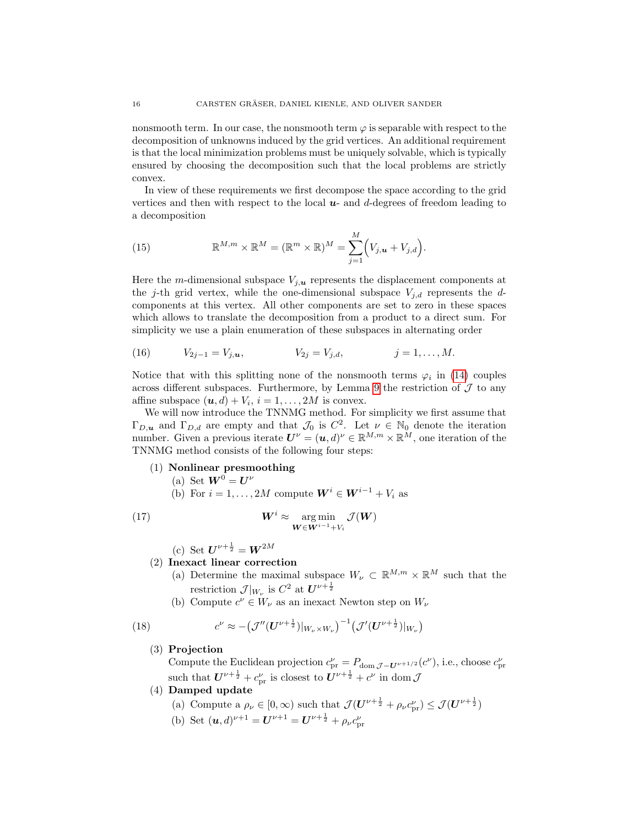nonsmooth term. In our case, the nonsmooth term  $\varphi$  is separable with respect to the decomposition of unknowns induced by the grid vertices. An additional requirement is that the local minimization problems must be uniquely solvable, which is typically ensured by choosing the decomposition such that the local problems are strictly convex.

In view of these requirements we first decompose the space according to the grid vertices and then with respect to the local  $u$ - and d-degrees of freedom leading to a decomposition

<span id="page-15-2"></span>(15) 
$$
\mathbb{R}^{M,m} \times \mathbb{R}^M = (\mathbb{R}^m \times \mathbb{R})^M = \sum_{j=1}^M (V_{j,\boldsymbol{u}} + V_{j,d}).
$$

Here the m-dimensional subspace  $V_{j,\boldsymbol{u}}$  represents the displacement components at the j-th grid vertex, while the one-dimensional subspace  $V_{j,d}$  represents the dcomponents at this vertex. All other components are set to zero in these spaces which allows to translate the decomposition from a product to a direct sum. For simplicity we use a plain enumeration of these subspaces in alternating order

<span id="page-15-3"></span>(16) 
$$
V_{2j-1} = V_{j,\mathbf{u}},
$$
  $V_{2j} = V_{j,d},$   $j = 1,...,M.$ 

Notice that with this splitting none of the nonsmooth terms  $\varphi_i$  in [\(14\)](#page-14-1) couples across different subspaces. Furthermore, by Lemma [9](#page-13-0) the restriction of  $\mathcal J$  to any affine subspace  $(\mathbf{u}, d) + V_i$ ,  $i = 1, ..., 2M$  is convex.

We will now introduce the TNNMG method. For simplicity we first assume that  $\Gamma_{D,\mu}$  and  $\Gamma_{D,d}$  are empty and that  $\mathcal{J}_0$  is  $C^2$ . Let  $\nu \in \mathbb{N}_0$  denote the iteration number. Given a previous iterate  $U^{\nu} = (u, d)^{\nu} \in \mathbb{R}^{M,m} \times \mathbb{R}^{M}$ , one iteration of the TNNMG method consists of the following four steps:

- (1) Nonlinear presmoothing
	- (a) Set  $\mathbf{W}^0 = \mathbf{U}^{\nu}$
	- (b) For  $i = 1, ..., 2M$  compute  $\mathbf{W}^i \in \mathbf{W}^{i-1} + V_i$  as

(17) 
$$
W^{i} \approx \operatorname*{arg\,min}_{W \in W^{i-1} + V_i} \mathcal{J}(W)
$$

<span id="page-15-1"></span>(c) Set  $U^{\nu + \frac{1}{2}} = W^{2M}$ 

# (2) Inexact linear correction

- (a) Determine the maximal subspace  $W_{\nu} \subset \mathbb{R}^{M,m} \times \mathbb{R}^{M}$  such that the restriction  $\mathcal{J}|_{W_{\nu}}$  is  $C^2$  at  $U^{\nu+\frac{1}{2}}$
- (b) Compute  $c^{\nu} \in W_{\nu}$  as an inexact Newton step on  $W_{\nu}$

<span id="page-15-0"></span>(18) 
$$
c^{\nu} \approx -(\mathcal{J}''(U^{\nu+\frac{1}{2}})|_{W_{\nu}\times W_{\nu}})^{-1}(\mathcal{J}'(U^{\nu+\frac{1}{2}})|_{W_{\nu}})
$$

## (3) Projection

Compute the Euclidean projection  $c_{\text{pr}}^{\nu} = P_{\text{dom }\mathcal{J}-\mathbf{U}^{\nu+1/2}}(c^{\nu}),$  i.e., choose  $c_{\text{pr}}^{\nu}$ such that  $U^{\nu + \frac{1}{2}} + c_{\text{pr}}^{\nu}$  is closest to  $U^{\nu + \frac{1}{2}} + c^{\nu}$  in dom  $\mathcal{J}$ 

- (4) Damped update
	- (a) Compute a  $\rho_{\nu} \in [0, \infty)$  such that  $\mathcal{J}(\mathbf{U}^{\nu + \frac{1}{2}} + \rho_{\nu} c_{\text{pr}}^{\nu}) \leq \mathcal{J}(\mathbf{U}^{\nu + \frac{1}{2}})$
	- (b) Set  $(u, d)^{\nu+1} = U^{\nu+1} = U^{\nu+\frac{1}{2}} + \rho_{\nu} c_{\text{pr}}^{\nu}$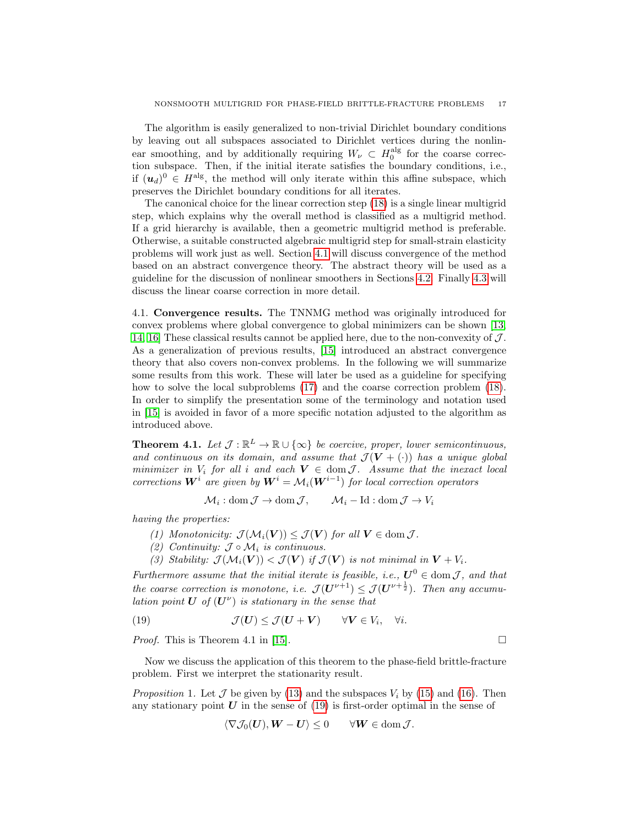The algorithm is easily generalized to non-trivial Dirichlet boundary conditions by leaving out all subspaces associated to Dirichlet vertices during the nonlinear smoothing, and by additionally requiring  $W_{\nu} \subset H_0^{\text{alg}}$  for the coarse correction subspace. Then, if the initial iterate satisfies the boundary conditions, i.e., if  $(u_d)^0 \in H^{\text{alg}}$ , the method will only iterate within this affine subspace, which preserves the Dirichlet boundary conditions for all iterates.

The canonical choice for the linear correction step [\(18\)](#page-15-0) is a single linear multigrid step, which explains why the overall method is classified as a multigrid method. If a grid hierarchy is available, then a geometric multigrid method is preferable. Otherwise, a suitable constructed algebraic multigrid step for small-strain elasticity problems will work just as well. Section [4.1](#page-16-0) will discuss convergence of the method based on an abstract convergence theory. The abstract theory will be used as a guideline for the discussion of nonlinear smoothers in Sections [4.2.](#page-18-0) Finally [4.3](#page-19-1) will discuss the linear coarse correction in more detail.

<span id="page-16-0"></span>4.1. Convergence results. The TNNMG method was originally introduced for convex problems where global convergence to global minimizers can be shown [\[13,](#page-38-6) [14,](#page-38-15) [16\]](#page-38-8) These classical results cannot be applied here, due to the non-convexity of  $J$ . As a generalization of previous results, [\[15\]](#page-38-7) introduced an abstract convergence theory that also covers non-convex problems. In the following we will summarize some results from this work. These will later be used as a guideline for specifying how to solve the local subproblems [\(17\)](#page-15-1) and the coarse correction problem [\(18\)](#page-15-0). In order to simplify the presentation some of the terminology and notation used in [\[15\]](#page-38-7) is avoided in favor of a more specific notation adjusted to the algorithm as introduced above.

<span id="page-16-2"></span>**Theorem 4.1.** Let  $\mathcal{J} : \mathbb{R}^L \to \mathbb{R} \cup {\infty}$  be coercive, proper, lower semicontinuous, and continuous on its domain, and assume that  $\mathcal{J}(\mathbf{V} + (\cdot))$  has a unique global minimizer in  $V_i$  for all i and each  $V \in \text{dom } \mathcal{J}$ . Assume that the inexact local corrections  $\boldsymbol{W}^i$  are given by  $\boldsymbol{W}^i = \mathcal{M}_i(\boldsymbol{W}^{i-1})$  for local correction operators

$$
\mathcal{M}_i: \text{dom}\,\mathcal{J} \to \text{dom}\,\mathcal{J}, \qquad \mathcal{M}_i - \text{Id}: \text{dom}\,\mathcal{J} \to V_i
$$

having the properties:

(1) Monotonicity:  $\mathcal{J}(\mathcal{M}_i(\boldsymbol{V})) \leq \mathcal{J}(\boldsymbol{V})$  for all  $\boldsymbol{V} \in \text{dom } \mathcal{J}$ .

- (2) Continuity:  $\mathcal{J} \circ \mathcal{M}_i$  is continuous.
- (3) Stability:  $\mathcal{J}(\mathcal{M}_i(\mathbf{V})) < \mathcal{J}(\mathbf{V})$  if  $\mathcal{J}(\mathbf{V})$  is not minimal in  $\mathbf{V} + V_i$ .

Furthermore assume that the initial iterate is feasible, i.e.,  $\boldsymbol{U}^0 \in \text{dom } \mathcal{J}$ , and that the coarse correction is monotone, i.e.  $\mathcal{J}(\boldsymbol{U}^{\nu+1}) \leq \mathcal{J}(\boldsymbol{U}^{\nu+\frac{1}{2}})$ . Then any accumulation point  $\boldsymbol{U}$  of  $(\boldsymbol{U}^{\nu})$  is stationary in the sense that

<span id="page-16-1"></span>(19) 
$$
\mathcal{J}(\boldsymbol{U}) \leq \mathcal{J}(\boldsymbol{U} + \boldsymbol{V}) \qquad \forall \boldsymbol{V} \in V_i, \quad \forall i.
$$

*Proof.* This is Theorem 4.1 in [\[15\]](#page-38-7).  $\square$ 

Now we discuss the application of this theorem to the phase-field brittle-fracture problem. First we interpret the stationarity result.

*Proposition* 1. Let  $\mathcal J$  be given by [\(13\)](#page-12-0) and the subspaces  $V_i$  by [\(15\)](#page-15-2) and [\(16\)](#page-15-3). Then any stationary point  $U$  in the sense of  $(19)$  is first-order optimal in the sense of

$$
\langle \nabla \mathcal{J}_0(\boldsymbol{U}), \boldsymbol{W} - \boldsymbol{U} \rangle \leq 0 \qquad \forall \boldsymbol{W} \in \text{dom} \, \mathcal{J}.
$$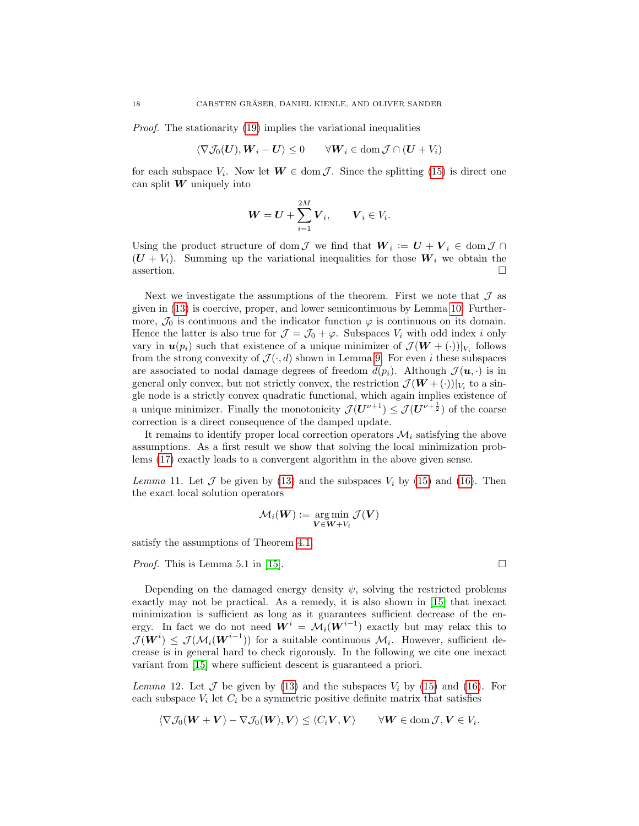Proof. The stationarity [\(19\)](#page-16-1) implies the variational inequalities

$$
\langle \nabla \mathcal{J}_0(\boldsymbol{U}), \boldsymbol{W}_i - \boldsymbol{U} \rangle \le 0 \qquad \forall \boldsymbol{W}_i \in \text{dom } \mathcal{J} \cap (\boldsymbol{U} + V_i)
$$

for each subspace  $V_i$ . Now let  $W \in \text{dom } \mathcal{J}$ . Since the splitting [\(15\)](#page-15-2) is direct one can split  $W$  uniquely into

$$
\boldsymbol{W} = \boldsymbol{U} + \sum_{i=1}^{2M} \boldsymbol{V}_i, \qquad \boldsymbol{V}_i \in V_i.
$$

Using the product structure of dom  $\mathcal J$  we find that  $W_i := U + V_i \in \text{dom } \mathcal J \cap \mathcal J$  $(U + V_i)$ . Summing up the variational inequalities for those  $W_i$  we obtain the assertion.  $\Box$ 

Next we investigate the assumptions of the theorem. First we note that  $\mathcal J$  as given in [\(13\)](#page-12-0) is coercive, proper, and lower semicontinuous by Lemma [10.](#page-14-2) Furthermore,  $\mathcal{J}_0$  is continuous and the indicator function  $\varphi$  is continuous on its domain. Hence the latter is also true for  $\mathcal{J} = \mathcal{J}_0 + \varphi$ . Subspaces  $V_i$  with odd index i only vary in  $u(p_i)$  such that existence of a unique minimizer of  $\mathcal{J}(W + (\cdot))|_{V_i}$  follows from the strong convexity of  $\mathcal{J}(\cdot, d)$  shown in Lemma [9.](#page-13-0) For even i these subspaces are associated to nodal damage degrees of freedom  $d(p_i)$ . Although  $\mathcal{J}(\mathbf{u},\cdot)$  is in general only convex, but not strictly convex, the restriction  $\mathcal{J}(\boldsymbol{W} + (\cdot))|_{V_i}$  to a single node is a strictly convex quadratic functional, which again implies existence of a unique minimizer. Finally the monotonicity  $\mathcal{J}(\mathbf{U}^{\nu+1}) \leq \mathcal{J}(\mathbf{U}^{\nu+\frac{1}{2}})$  of the coarse correction is a direct consequence of the damped update.

It remains to identify proper local correction operators  $\mathcal{M}_i$  satisfying the above assumptions. As a first result we show that solving the local minimization problems [\(17\)](#page-15-1) exactly leads to a convergent algorithm in the above given sense.

<span id="page-17-0"></span>Lemma 11. Let  $\mathcal J$  be given by [\(13\)](#page-12-0) and the subspaces  $V_i$  by [\(15\)](#page-15-2) and [\(16\)](#page-15-3). Then the exact local solution operators

$$
\mathcal{M}_i(\boldsymbol{W}) \coloneqq \argmin_{\boldsymbol{V} \in \boldsymbol{W} + V_i} \mathcal{J}(\boldsymbol{V})
$$

satisfy the assumptions of Theorem [4.1.](#page-16-2)

Proof. This is Lemma 5.1 in [\[15\]](#page-38-7).

Depending on the damaged energy density  $\psi$ , solving the restricted problems exactly may not be practical. As a remedy, it is also shown in [\[15\]](#page-38-7) that inexact minimization is sufficient as long as it guarantees sufficient decrease of the energy. In fact we do not need  $\mathbf{W}^i = \mathcal{M}_i(\mathbf{W}^{i-1})$  exactly but may relax this to  $\mathcal{J}(\boldsymbol{W}^i) \leq \mathcal{J}(\mathcal{M}_i(\boldsymbol{W}^{i-1}))$  for a suitable continuous  $\mathcal{M}_i$ . However, sufficient decrease is in general hard to check rigorously. In the following we cite one inexact variant from [\[15\]](#page-38-7) where sufficient descent is guaranteed a priori.

<span id="page-17-1"></span>Lemma 12. Let  $\mathcal J$  be given by [\(13\)](#page-12-0) and the subspaces  $V_i$  by [\(15\)](#page-15-2) and [\(16\)](#page-15-3). For each subspace  $V_i$  let  $C_i$  be a symmetric positive definite matrix that satisfies

$$
\langle \nabla \mathcal{J}_0(\boldsymbol{W} + \boldsymbol{V}) - \nabla \mathcal{J}_0(\boldsymbol{W}), \boldsymbol{V} \rangle \leq \langle C_i \boldsymbol{V}, \boldsymbol{V} \rangle \qquad \forall \boldsymbol{W} \in \text{dom} \, \mathcal{J}, \boldsymbol{V} \in V_i.
$$

$$
\sqcup
$$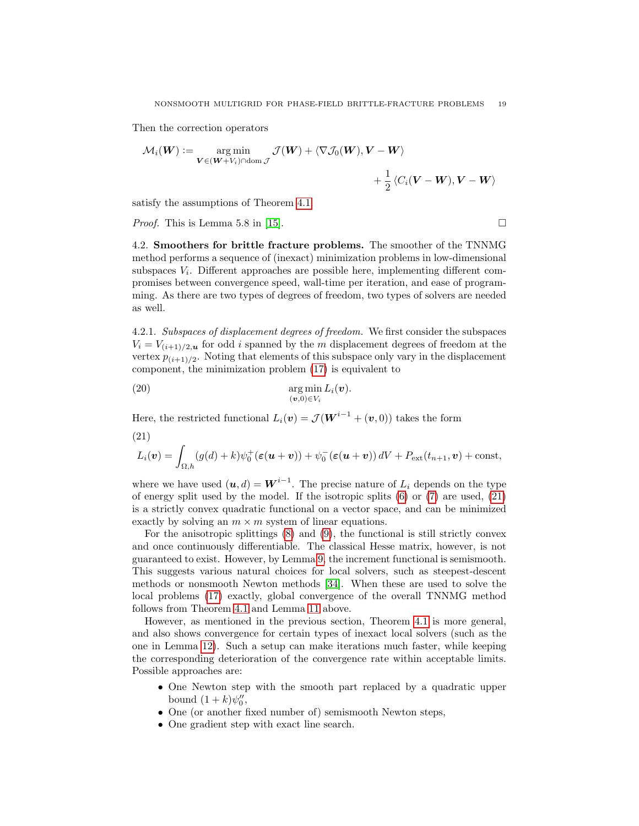Then the correction operators

$$
\mathcal{M}_i(\boldsymbol{W}) := \mathop{\arg\min}_{\boldsymbol{V} \in (\boldsymbol{W} + V_i) \cap \text{dom } \mathcal{J}} \mathcal{J}(\boldsymbol{W}) + \langle \nabla \mathcal{J}_0(\boldsymbol{W}), \boldsymbol{V} - \boldsymbol{W} \rangle + \frac{1}{2} \langle C_i(\boldsymbol{V} - \boldsymbol{W}), \boldsymbol{V} - \boldsymbol{W} \rangle
$$

satisfy the assumptions of Theorem [4.1.](#page-16-2)

*Proof.* This is Lemma 5.8 in [\[15\]](#page-38-7).

<span id="page-18-0"></span>4.2. Smoothers for brittle fracture problems. The smoother of the TNNMG method performs a sequence of (inexact) minimization problems in low-dimensional subspaces  $V_i$ . Different approaches are possible here, implementing different compromises between convergence speed, wall-time per iteration, and ease of programming. As there are two types of degrees of freedom, two types of solvers are needed as well.

4.2.1. Subspaces of displacement degrees of freedom. We first consider the subspaces  $V_i = V_{(i+1)/2,\mathbf{u}}$  for odd i spanned by the m displacement degrees of freedom at the vertex  $p_{(i+1)/2}$ . Noting that elements of this subspace only vary in the displacement component, the minimization problem [\(17\)](#page-15-1) is equivalent to

<span id="page-18-2"></span>(20) 
$$
\arg\min_{(\mathbf{v},0)\in V_i} L_i(\mathbf{v}).
$$

Here, the restricted functional  $L_i(\boldsymbol{v}) = \mathcal{J}(\boldsymbol{W}^{i-1} + (\boldsymbol{v}, 0))$  takes the form

<span id="page-18-1"></span>(21)

$$
L_i(\boldsymbol{v}) = \int_{\Omega,h} (g(d) + k) \psi_0^+(\boldsymbol{\varepsilon}(\boldsymbol{u} + \boldsymbol{v})) + \psi_0^-(\boldsymbol{\varepsilon}(\boldsymbol{u} + \boldsymbol{v})) dV + P_{\text{ext}}(t_{n+1}, \boldsymbol{v}) + \text{const},
$$

where we have used  $(u, d) = W^{i-1}$ . The precise nature of  $L_i$  depends on the type of energy split used by the model. If the isotropic splits [\(6\)](#page-6-0) or [\(7\)](#page-6-1) are used, [\(21\)](#page-18-1) is a strictly convex quadratic functional on a vector space, and can be minimized exactly by solving an  $m \times m$  system of linear equations.

For the anisotropic splittings [\(8\)](#page-7-0) and [\(9\)](#page-7-1), the functional is still strictly convex and once continuously differentiable. The classical Hesse matrix, however, is not guaranteed to exist. However, by Lemma [9,](#page-13-0) the increment functional is semismooth. This suggests various natural choices for local solvers, such as steepest-descent methods or nonsmooth Newton methods [\[34\]](#page-39-14). When these are used to solve the local problems [\(17\)](#page-15-1) exactly, global convergence of the overall TNNMG method follows from Theorem [4.1](#page-16-2) and Lemma [11](#page-17-0) above.

However, as mentioned in the previous section, Theorem [4.1](#page-16-2) is more general, and also shows convergence for certain types of inexact local solvers (such as the one in Lemma [12\)](#page-17-1). Such a setup can make iterations much faster, while keeping the corresponding deterioration of the convergence rate within acceptable limits. Possible approaches are:

- One Newton step with the smooth part replaced by a quadratic upper bound  $(1+k)\psi_0''$ ,
- One (or another fixed number of) semismooth Newton steps,
- One gradient step with exact line search.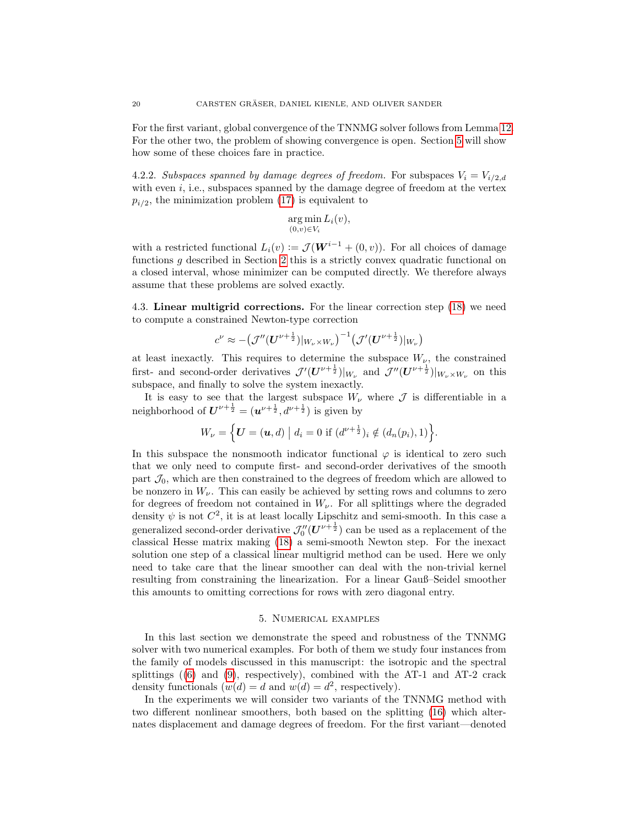For the first variant, global convergence of the TNNMG solver follows from Lemma [12.](#page-17-1) For the other two, the problem of showing convergence is open. Section [5](#page-19-0) will show how some of these choices fare in practice.

4.2.2. Subspaces spanned by damage degrees of freedom. For subspaces  $V_i = V_{i/2,d}$ with even  $i$ , i.e., subspaces spanned by the damage degree of freedom at the vertex  $p_{i/2}$ , the minimization problem [\(17\)](#page-15-1) is equivalent to

$$
\underset{(0,v)\in V_i}{\arg\min} L_i(v),
$$

with a restricted functional  $L_i(v) := \mathcal{J}(\mathbf{W}^{i-1} + (0, v))$ . For all choices of damage functions g described in Section [2](#page-2-0) this is a strictly convex quadratic functional on a closed interval, whose minimizer can be computed directly. We therefore always assume that these problems are solved exactly.

<span id="page-19-1"></span>4.3. Linear multigrid corrections. For the linear correction step [\(18\)](#page-15-0) we need to compute a constrained Newton-type correction

$$
c^{\nu} \approx -\left(\mathcal{J}''(\boldsymbol{U}^{\nu+\frac{1}{2}})|_{W_{\nu}\times W_{\nu}}\right)^{-1}\left(\mathcal{J}'(\boldsymbol{U}^{\nu+\frac{1}{2}})|_{W_{\nu}}\right)
$$

at least inexactly. This requires to determine the subspace  $W_{\nu}$ , the constrained first- and second-order derivatives  $\mathcal{J}'(\bm{U}^{\nu+\frac{1}{2}})|_{W_{\nu}}$  and  $\mathcal{J}''(\bm{U}^{\nu+\frac{1}{2}})|_{W_{\nu}\times W_{\nu}}$  on this subspace, and finally to solve the system inexactly.

It is easy to see that the largest subspace  $W_{\nu}$  where  $\mathcal J$  is differentiable in a neighborhood of  $U^{\nu+\frac{1}{2}} = (\mathbf{u}^{\nu+\frac{1}{2}}, d^{\nu+\frac{1}{2}})$  is given by

$$
W_{\nu} = \{ \mathbf{U} = (\mathbf{u}, d) \mid d_i = 0 \text{ if } (d^{\nu + \frac{1}{2}})_i \notin (d_n(p_i), 1) \}.
$$

In this subspace the nonsmooth indicator functional  $\varphi$  is identical to zero such that we only need to compute first- and second-order derivatives of the smooth part  $\mathcal{J}_0$ , which are then constrained to the degrees of freedom which are allowed to be nonzero in  $W_{\nu}$ . This can easily be achieved by setting rows and columns to zero for degrees of freedom not contained in  $W_{\nu}$ . For all splittings where the degraded density  $\psi$  is not  $C^2$ , it is at least locally Lipschitz and semi-smooth. In this case a generalized second-order derivative  $\mathcal{J}''_0(U^{\nu+\frac{1}{2}})$  can be used as a replacement of the classical Hesse matrix making [\(18\)](#page-15-0) a semi-smooth Newton step. For the inexact solution one step of a classical linear multigrid method can be used. Here we only need to take care that the linear smoother can deal with the non-trivial kernel resulting from constraining the linearization. For a linear Gauß–Seidel smoother this amounts to omitting corrections for rows with zero diagonal entry.

### 5. Numerical examples

<span id="page-19-0"></span>In this last section we demonstrate the speed and robustness of the TNNMG solver with two numerical examples. For both of them we study four instances from the family of models discussed in this manuscript: the isotropic and the spectral splittings  $(6)$  and  $(9)$ , respectively), combined with the AT-1 and AT-2 crack density functionals  $(w(d) = d \text{ and } w(d) = d^2$ , respectively).

In the experiments we will consider two variants of the TNNMG method with two different nonlinear smoothers, both based on the splitting [\(16\)](#page-15-3) which alternates displacement and damage degrees of freedom. For the first variant—denoted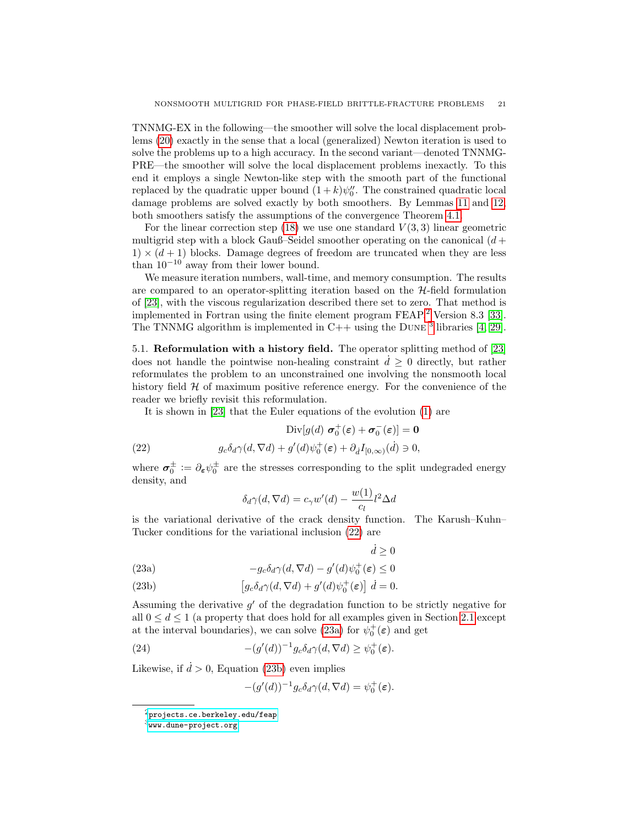TNNMG-EX in the following—the smoother will solve the local displacement problems [\(20\)](#page-18-2) exactly in the sense that a local (generalized) Newton iteration is used to solve the problems up to a high accuracy. In the second variant—denoted TNNMG-PRE—the smoother will solve the local displacement problems inexactly. To this end it employs a single Newton-like step with the smooth part of the functional replaced by the quadratic upper bound  $(1 + k)\psi_0''$ . The constrained quadratic local damage problems are solved exactly by both smoothers. By Lemmas [11](#page-17-0) and [12,](#page-17-1) both smoothers satisfy the assumptions of the convergence Theorem [4.1.](#page-16-2)

For the linear correction step [\(18\)](#page-15-0) we use one standard  $V(3,3)$  linear geometric multigrid step with a block Gauß–Seidel smoother operating on the canonical  $(d +$  $1) \times (d+1)$  blocks. Damage degrees of freedom are truncated when they are less than  $10^{-10}$  away from their lower bound.

We measure iteration numbers, wall-time, and memory consumption. The results are compared to an operator-splitting iteration based on the  $H$ -field formulation of [\[23\]](#page-39-1), with the viscous regularization described there set to zero. That method is implemented in Fortran using the finite element program  $FEAP$ ,  $2$  Version 8.3 [\[33\]](#page-39-16). The TNNMG algorithm is implemented in  $C++$  using the DUNE  $^3$  $^3$  libraries [\[4,](#page-35-3) [29\]](#page-39-17).

<span id="page-20-0"></span>5.1. Reformulation with a history field. The operator splitting method of [\[23\]](#page-39-1) does not handle the pointwise non-healing constraint  $\dot{d} \geq 0$  directly, but rather reformulates the problem to an unconstrained one involving the nonsmooth local history field  $H$  of maximum positive reference energy. For the convenience of the reader we briefly revisit this reformulation.

It is shown in [\[23\]](#page-39-1) that the Euler equations of the evolution [\(1\)](#page-3-1) are

<span id="page-20-3"></span>
$$
\text{Div}[g(d) \ \sigma_0^+(\varepsilon) + \sigma_0^-(\varepsilon)] = \mathbf{0}
$$
  
(22) 
$$
g_c \delta_d \gamma(d, \nabla d) + g'(d) \psi_0^+(\varepsilon) + \partial_d I_{[0,\infty)}(\dot{d}) \ni 0,
$$

where  $\sigma_0^{\pm} := \partial_{\epsilon} \psi_0^{\pm}$  are the stresses corresponding to the split undegraded energy density, and

$$
\delta_d \gamma(d, \nabla d) = c_\gamma w'(d) - \frac{w(1)}{c_l} l^2 \Delta d
$$

is the variational derivative of the crack density function. The Karush–Kuhn– Tucker conditions for the variational inclusion [\(22\)](#page-20-3) are

 $\dot{d} \geq 0$ 

<span id="page-20-4"></span>(23a) 
$$
-g_c\delta_d\gamma(d,\nabla d) - g'(d)\psi_0^+(\varepsilon) \leq 0
$$

<span id="page-20-5"></span>(23b) 
$$
\left[g_c \delta_d \gamma(d, \nabla d) + g'(d) \psi_0^+(\varepsilon)\right] d = 0.
$$

Assuming the derivative  $g'$  of the degradation function to be strictly negative for all  $0 \leq d \leq 1$  (a property that does hold for all examples given in Section [2.1](#page-4-0) except at the interval boundaries), we can solve [\(23a\)](#page-20-4) for  $\psi_0^+(\varepsilon)$  and get

<span id="page-20-6"></span>(24) 
$$
-(g'(d))^{-1}g_c\delta_d\gamma(d,\nabla d) \geq \psi_0^+(\varepsilon).
$$

Likewise, if  $\dot{d} > 0$ , Equation [\(23b\)](#page-20-5) even implies

$$
-(g'(d))^{-1}g_c\delta_d\gamma(d,\nabla d)=\psi_0^+(\varepsilon).
$$

<span id="page-20-1"></span> $^{2}$ <projects.ce.berkeley.edu/feap>

<span id="page-20-2"></span> $3$ <www.dune-project.org>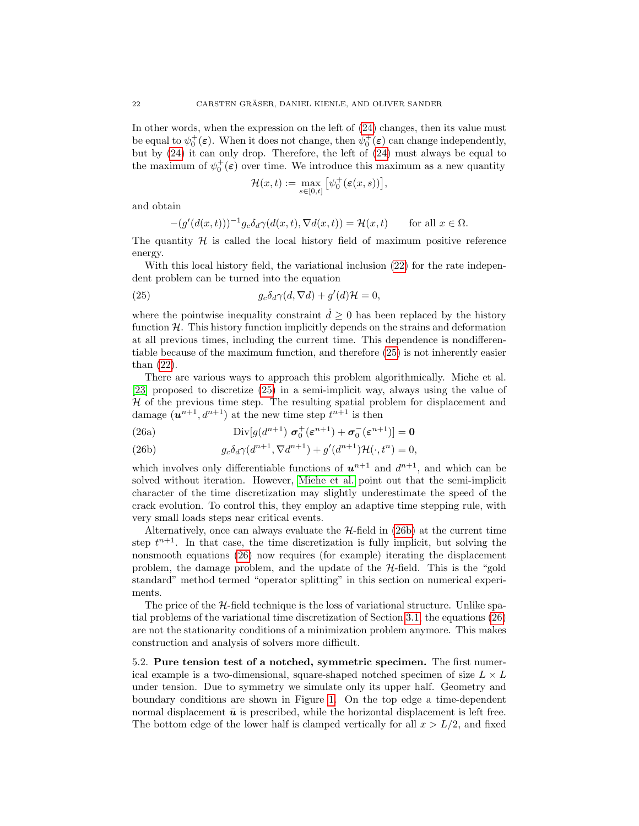In other words, when the expression on the left of [\(24\)](#page-20-6) changes, then its value must be equal to  $\psi_0^+(\varepsilon)$ . When it does not change, then  $\psi_0^+(\varepsilon)$  can change independently, but by [\(24\)](#page-20-6) it can only drop. Therefore, the left of [\(24\)](#page-20-6) must always be equal to the maximum of  $\psi_0^+(\varepsilon)$  over time. We introduce this maximum as a new quantity

$$
\mathcal{H}(x,t) := \max_{s \in [0,t]} \left[ \psi_0^+(\varepsilon(x,s)) \right],
$$

and obtain

$$
-(g'(d(x,t)))^{-1}g_c\delta_d\gamma(d(x,t),\nabla d(x,t))=\mathcal{H}(x,t) \qquad \text{for all } x\in\Omega.
$$

The quantity  $H$  is called the local history field of maximum positive reference energy.

With this local history field, the variational inclusion [\(22\)](#page-20-3) for the rate independent problem can be turned into the equation

<span id="page-21-0"></span>(25) 
$$
g_c \delta_d \gamma(d, \nabla d) + g'(d) \mathcal{H} = 0,
$$

where the pointwise inequality constraint  $\dot{d} \geq 0$  has been replaced by the history function  $H$ . This history function implicitly depends on the strains and deformation at all previous times, including the current time. This dependence is nondifferentiable because of the maximum function, and therefore [\(25\)](#page-21-0) is not inherently easier than [\(22\)](#page-20-3).

There are various ways to approach this problem algorithmically. Miehe et al. [\[23\]](#page-39-1) proposed to discretize [\(25\)](#page-21-0) in a semi-implicit way, always using the value of  $H$  of the previous time step. The resulting spatial problem for displacement and damage  $(\mathbf{u}^{n+1}, d^{n+1})$  at the new time step  $t^{n+1}$  is then

<span id="page-21-2"></span>(26a) 
$$
\text{Div}[g(d^{n+1}) \ \sigma_0^+(\varepsilon^{n+1}) + \sigma_0^-(\varepsilon^{n+1})] = 0
$$

<span id="page-21-1"></span>(26b) 
$$
g_c \delta_d \gamma(d^{n+1}, \nabla d^{n+1}) + g'(d^{n+1}) \mathcal{H}(\cdot, t^n) = 0,
$$

which involves only differentiable functions of  $u^{n+1}$  and  $d^{n+1}$ , and which can be solved without iteration. However, [Miehe et al.](#page-39-1) point out that the semi-implicit character of the time discretization may slightly underestimate the speed of the crack evolution. To control this, they employ an adaptive time stepping rule, with very small loads steps near critical events.

Alternatively, once can always evaluate the  $H$ -field in [\(26b\)](#page-21-1) at the current time step  $t^{n+1}$ . In that case, the time discretization is fully implicit, but solving the nonsmooth equations [\(26\)](#page-21-2) now requires (for example) iterating the displacement problem, the damage problem, and the update of the  $H$ -field. This is the "gold" standard" method termed "operator splitting" in this section on numerical experiments.

The price of the  $H$ -field technique is the loss of variational structure. Unlike spatial problems of the variational time discretization of Section [3.1,](#page-10-1) the equations [\(26\)](#page-21-2) are not the stationarity conditions of a minimization problem anymore. This makes construction and analysis of solvers more difficult.

5.2. Pure tension test of a notched, symmetric specimen. The first numerical example is a two-dimensional, square-shaped notched specimen of size  $L \times L$ under tension. Due to symmetry we simulate only its upper half. Geometry and boundary conditions are shown in Figure [1.](#page-22-0) On the top edge a time-dependent normal displacement  $\bar{u}$  is prescribed, while the horizontal displacement is left free. The bottom edge of the lower half is clamped vertically for all  $x > L/2$ , and fixed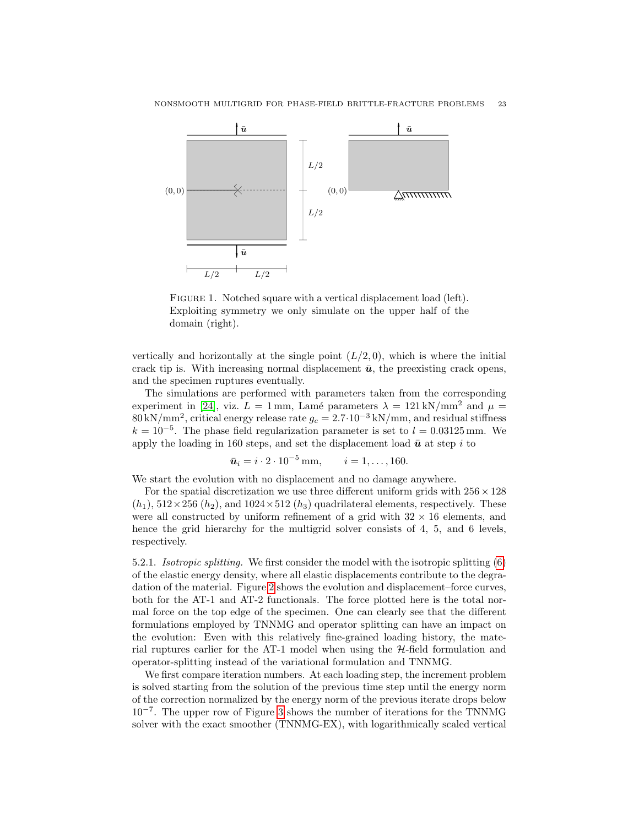

<span id="page-22-0"></span>FIGURE 1. Notched square with a vertical displacement load (left). Exploiting symmetry we only simulate on the upper half of the domain (right).

vertically and horizontally at the single point  $(L/2, 0)$ , which is where the initial crack tip is. With increasing normal displacement  $\bar{u}$ , the preexisting crack opens, and the specimen ruptures eventually.

The simulations are performed with parameters taken from the corresponding experiment in [\[24\]](#page-39-0), viz.  $L = 1$  mm, Lamé parameters  $\lambda = 121 \text{ kN/mm}^2$  and  $\mu =$  $80 \text{ kN/mm}^2$ , critical energy release rate  $g_c = 2.7 \cdot 10^{-3} \text{ kN/mm}$ , and residual stiffness  $k = 10^{-5}$ . The phase field regularization parameter is set to  $l = 0.03125$  mm. We apply the loading in 160 steps, and set the displacement load  $\bar{u}$  at step i to

$$
\bar{u}_i = i \cdot 2 \cdot 10^{-5} \text{ mm}, \qquad i = 1, \dots, 160.
$$

We start the evolution with no displacement and no damage anywhere.

For the spatial discretization we use three different uniform grids with  $256 \times 128$  $(h_1)$ ,  $512 \times 256$   $(h_2)$ , and  $1024 \times 512$   $(h_3)$  quadrilateral elements, respectively. These were all constructed by uniform refinement of a grid with  $32 \times 16$  elements, and hence the grid hierarchy for the multigrid solver consists of 4, 5, and 6 levels, respectively.

5.2.1. Isotropic splitting. We first consider the model with the isotropic splitting [\(6\)](#page-6-0) of the elastic energy density, where all elastic displacements contribute to the degradation of the material. Figure [2](#page-23-0) shows the evolution and displacement–force curves, both for the AT-1 and AT-2 functionals. The force plotted here is the total normal force on the top edge of the specimen. One can clearly see that the different formulations employed by TNNMG and operator splitting can have an impact on the evolution: Even with this relatively fine-grained loading history, the material ruptures earlier for the AT-1 model when using the  $H$ -field formulation and operator-splitting instead of the variational formulation and TNNMG.

We first compare iteration numbers. At each loading step, the increment problem is solved starting from the solution of the previous time step until the energy norm of the correction normalized by the energy norm of the previous iterate drops below 10<sup>−</sup><sup>7</sup> . The upper row of Figure [3](#page-24-0) shows the number of iterations for the TNNMG solver with the exact smoother (TNNMG-EX), with logarithmically scaled vertical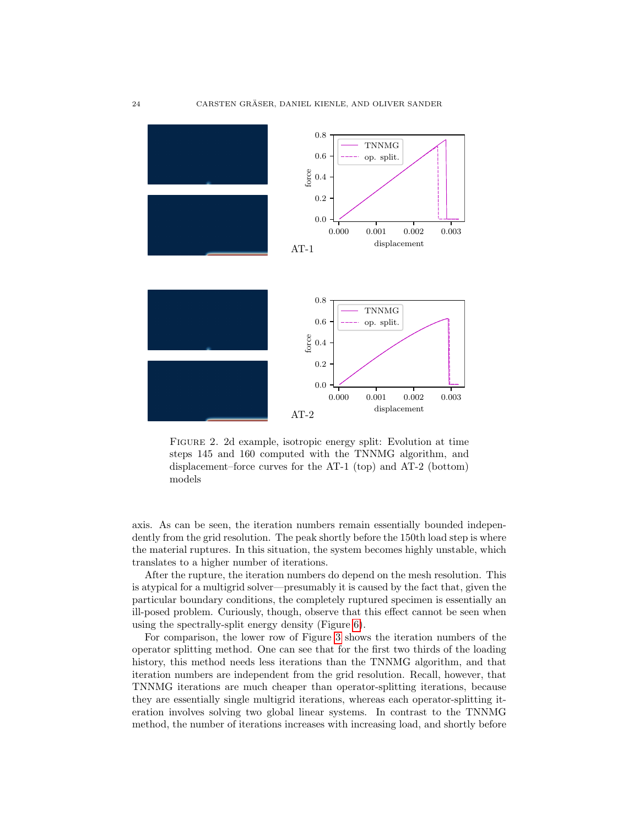

<span id="page-23-0"></span>Figure 2. 2d example, isotropic energy split: Evolution at time steps 145 and 160 computed with the TNNMG algorithm, and displacement–force curves for the AT-1 (top) and AT-2 (bottom) models

axis. As can be seen, the iteration numbers remain essentially bounded independently from the grid resolution. The peak shortly before the 150th load step is where the material ruptures. In this situation, the system becomes highly unstable, which translates to a higher number of iterations.

After the rupture, the iteration numbers do depend on the mesh resolution. This is atypical for a multigrid solver—presumably it is caused by the fact that, given the particular boundary conditions, the completely ruptured specimen is essentially an ill-posed problem. Curiously, though, observe that this effect cannot be seen when using the spectrally-split energy density (Figure [6\)](#page-27-0).

For comparison, the lower row of Figure [3](#page-24-0) shows the iteration numbers of the operator splitting method. One can see that for the first two thirds of the loading history, this method needs less iterations than the TNNMG algorithm, and that iteration numbers are independent from the grid resolution. Recall, however, that TNNMG iterations are much cheaper than operator-splitting iterations, because they are essentially single multigrid iterations, whereas each operator-splitting iteration involves solving two global linear systems. In contrast to the TNNMG method, the number of iterations increases with increasing load, and shortly before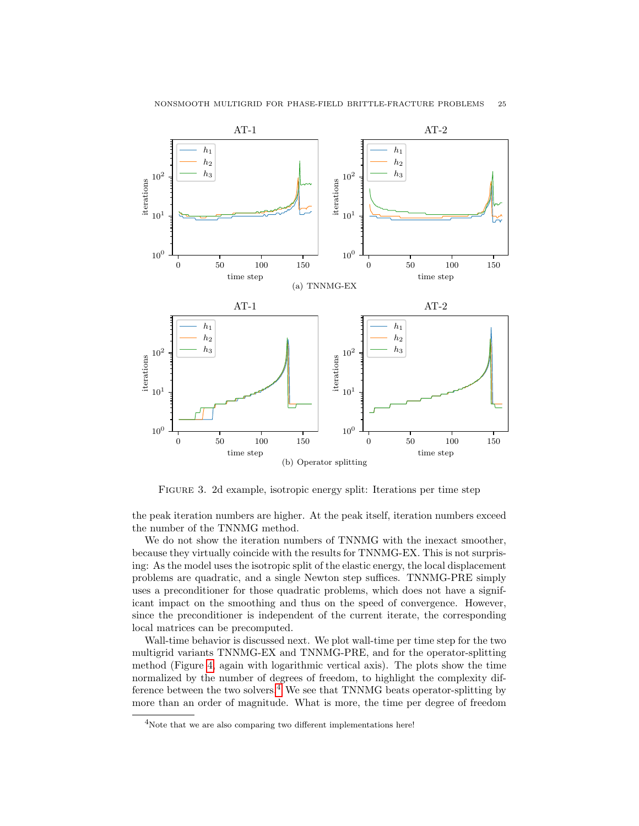

<span id="page-24-0"></span>Figure 3. 2d example, isotropic energy split: Iterations per time step

the peak iteration numbers are higher. At the peak itself, iteration numbers exceed the number of the TNNMG method.

We do not show the iteration numbers of TNNMG with the inexact smoother, because they virtually coincide with the results for TNNMG-EX. This is not surprising: As the model uses the isotropic split of the elastic energy, the local displacement problems are quadratic, and a single Newton step suffices. TNNMG-PRE simply uses a preconditioner for those quadratic problems, which does not have a significant impact on the smoothing and thus on the speed of convergence. However, since the preconditioner is independent of the current iterate, the corresponding local matrices can be precomputed.

Wall-time behavior is discussed next. We plot wall-time per time step for the two multigrid variants TNNMG-EX and TNNMG-PRE, and for the operator-splitting method (Figure [4,](#page-25-0) again with logarithmic vertical axis). The plots show the time normalized by the number of degrees of freedom, to highlight the complexity difference between the two solvers. $4\degree$  $4\degree$  We see that TNNMG beats operator-splitting by more than an order of magnitude. What is more, the time per degree of freedom

<span id="page-24-1"></span><sup>&</sup>lt;sup>4</sup>Note that we are also comparing two different implementations here!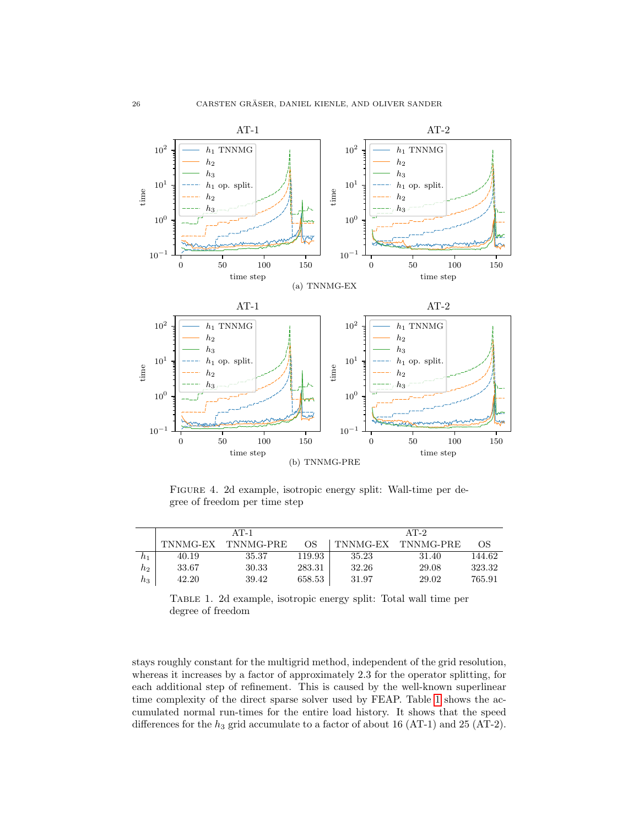

<span id="page-25-0"></span>Figure 4. 2d example, isotropic energy split: Wall-time per degree of freedom per time step

|                 | $AT-1$   |           |        | $AT-2$   |           |        |
|-----------------|----------|-----------|--------|----------|-----------|--------|
|                 | TNNMG-EX | TNNMG-PRE | OS     | TNNMG-EX | TNNMG-PRE | OS     |
| $h_1$           | 40.19    | 35.37     | 119.93 | 35.23    | 31.40     | 144.62 |
| $_{h_2}$        | 33.67    | 30.33     | 283.31 | 32.26    | 29.08     | 323.32 |
| $\mathcal{h}_3$ | 42.20    | 39.42     | 658.53 | 31.97    | 29.02     | 765.91 |

<span id="page-25-1"></span>Table 1. 2d example, isotropic energy split: Total wall time per degree of freedom

stays roughly constant for the multigrid method, independent of the grid resolution, whereas it increases by a factor of approximately 2.3 for the operator splitting, for each additional step of refinement. This is caused by the well-known superlinear time complexity of the direct sparse solver used by FEAP. Table [1](#page-25-1) shows the accumulated normal run-times for the entire load history. It shows that the speed differences for the  $h_3$  grid accumulate to a factor of about 16 (AT-1) and 25 (AT-2).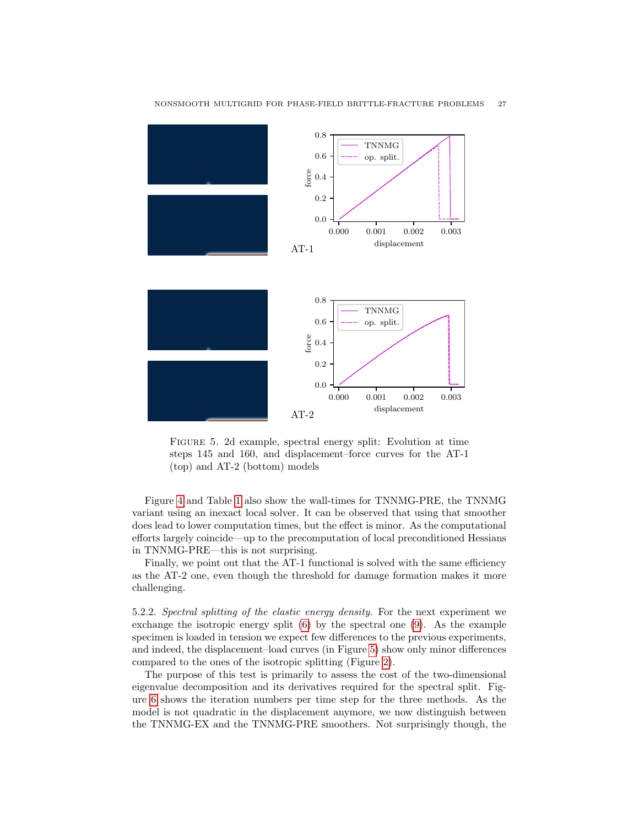

<span id="page-26-0"></span>Figure 5. 2d example, spectral energy split: Evolution at time steps 145 and 160, and displacement–force curves for the AT-1 (top) and AT-2 (bottom) models

Figure [4](#page-25-0) and Table [1](#page-25-1) also show the wall-times for TNNMG-PRE, the TNNMG variant using an inexact local solver. It can be observed that using that smoother does lead to lower computation times, but the effect is minor. As the computational efforts largely coincide—up to the precomputation of local preconditioned Hessians in TNNMG-PRE—this is not surprising.

Finally, we point out that the AT-1 functional is solved with the same efficiency as the AT-2 one, even though the threshold for damage formation makes it more challenging.

5.2.2. Spectral splitting of the elastic energy density. For the next experiment we exchange the isotropic energy split [\(6\)](#page-6-0) by the spectral one [\(9\)](#page-7-1). As the example specimen is loaded in tension we expect few differences to the previous experiments, and indeed, the displacement–load curves (in Figure [5\)](#page-26-0) show only minor differences compared to the ones of the isotropic splitting (Figure [2\)](#page-23-0).

The purpose of this test is primarily to assess the cost of the two-dimensional eigenvalue decomposition and its derivatives required for the spectral split. Figure [6](#page-27-0) shows the iteration numbers per time step for the three methods. As the model is not quadratic in the displacement anymore, we now distinguish between the TNNMG-EX and the TNNMG-PRE smoothers. Not surprisingly though, the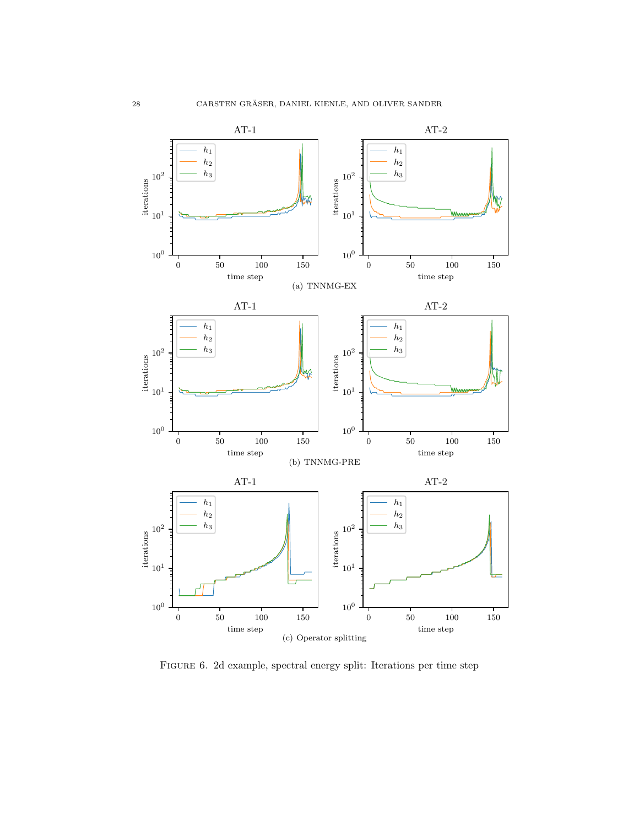

<span id="page-27-0"></span>Figure 6. 2d example, spectral energy split: Iterations per time step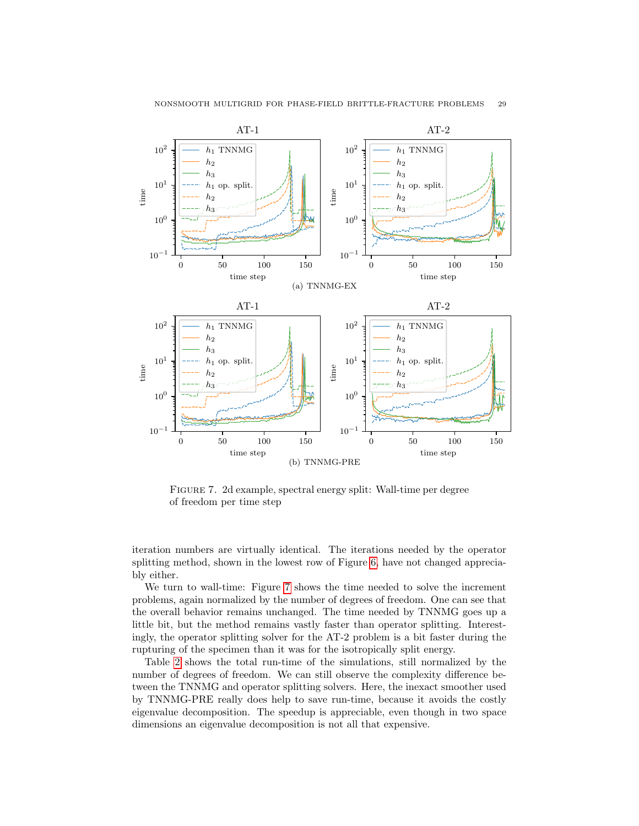

<span id="page-28-0"></span>Figure 7. 2d example, spectral energy split: Wall-time per degree of freedom per time step

iteration numbers are virtually identical. The iterations needed by the operator splitting method, shown in the lowest row of Figure [6,](#page-27-0) have not changed appreciably either.

We turn to wall-time: Figure [7](#page-28-0) shows the time needed to solve the increment problems, again normalized by the number of degrees of freedom. One can see that the overall behavior remains unchanged. The time needed by TNNMG goes up a little bit, but the method remains vastly faster than operator splitting. Interestingly, the operator splitting solver for the AT-2 problem is a bit faster during the rupturing of the specimen than it was for the isotropically split energy.

Table [2](#page-29-0) shows the total run-time of the simulations, still normalized by the number of degrees of freedom. We can still observe the complexity difference between the TNNMG and operator splitting solvers. Here, the inexact smoother used by TNNMG-PRE really does help to save run-time, because it avoids the costly eigenvalue decomposition. The speedup is appreciable, even though in two space dimensions an eigenvalue decomposition is not all that expensive.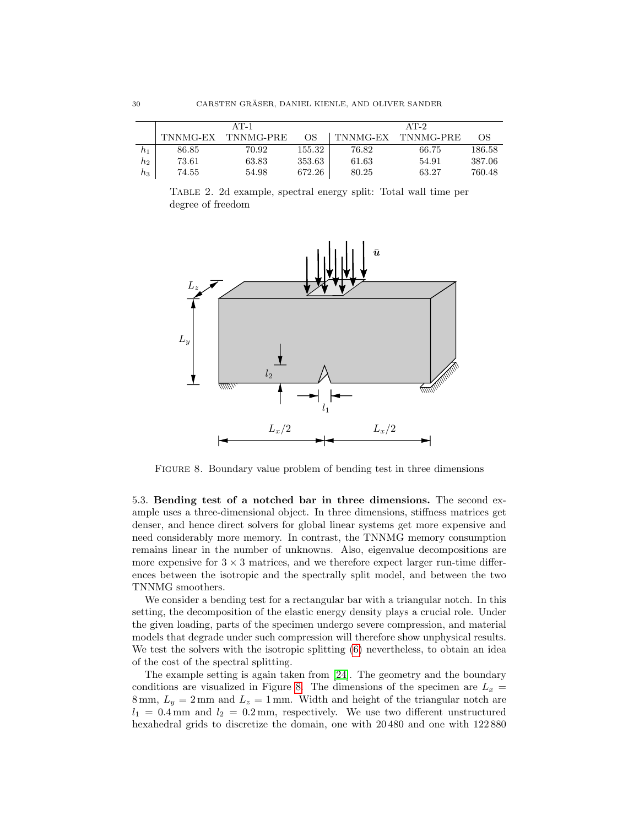|                    | $AT-1$   |           |        | $AT-2$   |           |        |
|--------------------|----------|-----------|--------|----------|-----------|--------|
|                    | TNNMG-EX | TNNMG-PRE | OS     | TNNMG-EX | TNNMG-PRE | OS     |
| h1                 | 86.85    | 70.92     | 155.32 | 76.82    | 66.75     | 186.58 |
| $\scriptstyle h_2$ | 73.61    | 63.83     | 353.63 | 61.63    | 54.91     | 387.06 |
| $\mathcal{h}_3$    | 74.55    | 54.98     | 672.26 | 80.25    | 63.27     | 760.48 |

<span id="page-29-0"></span>Table 2. 2d example, spectral energy split: Total wall time per degree of freedom



<span id="page-29-1"></span>FIGURE 8. Boundary value problem of bending test in three dimensions

5.3. Bending test of a notched bar in three dimensions. The second example uses a three-dimensional object. In three dimensions, stiffness matrices get denser, and hence direct solvers for global linear systems get more expensive and need considerably more memory. In contrast, the TNNMG memory consumption remains linear in the number of unknowns. Also, eigenvalue decompositions are more expensive for  $3 \times 3$  matrices, and we therefore expect larger run-time differences between the isotropic and the spectrally split model, and between the two TNNMG smoothers.

We consider a bending test for a rectangular bar with a triangular notch. In this setting, the decomposition of the elastic energy density plays a crucial role. Under the given loading, parts of the specimen undergo severe compression, and material models that degrade under such compression will therefore show unphysical results. We test the solvers with the isotropic splitting [\(6\)](#page-6-0) nevertheless, to obtain an idea of the cost of the spectral splitting.

The example setting is again taken from [\[24\]](#page-39-0). The geometry and the boundary conditions are visualized in Figure [8.](#page-29-1) The dimensions of the specimen are  $L_x =$ 8 mm,  $L_y = 2$  mm and  $L_z = 1$  mm. Width and height of the triangular notch are  $l_1 = 0.4$  mm and  $l_2 = 0.2$  mm, respectively. We use two different unstructured hexahedral grids to discretize the domain, one with 20 480 and one with 122 880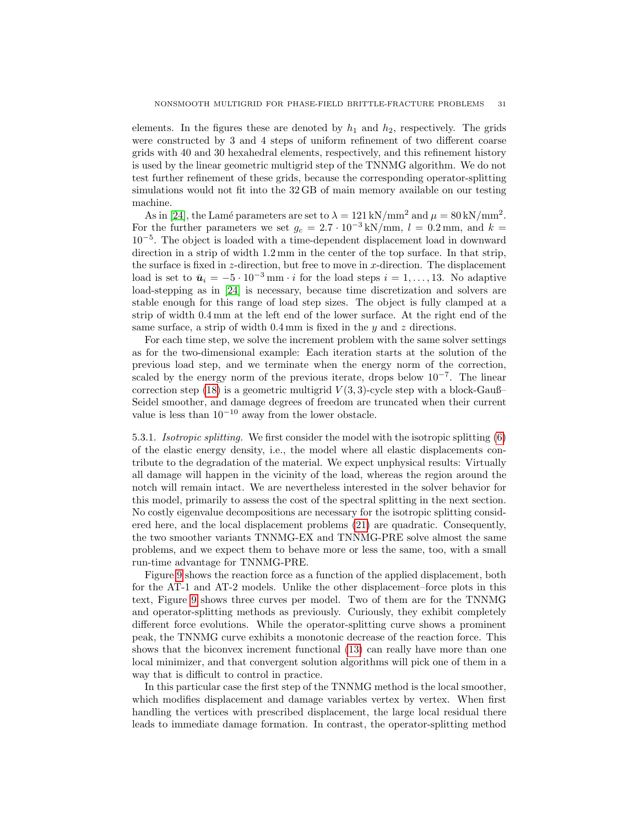elements. In the figures these are denoted by  $h_1$  and  $h_2$ , respectively. The grids were constructed by 3 and 4 steps of uniform refinement of two different coarse grids with 40 and 30 hexahedral elements, respectively, and this refinement history is used by the linear geometric multigrid step of the TNNMG algorithm. We do not test further refinement of these grids, because the corresponding operator-splitting simulations would not fit into the 32 GB of main memory available on our testing machine.

As in [\[24\]](#page-39-0), the Lamé parameters are set to  $\lambda = 121 \text{ kN/mm}^2$  and  $\mu = 80 \text{ kN/mm}^2$ . For the further parameters we set  $g_c = 2.7 \cdot 10^{-3} \text{ kN/mm}$ ,  $l = 0.2 \text{ mm}$ , and  $k =$ 10−<sup>5</sup> . The object is loaded with a time-dependent displacement load in downward direction in a strip of width 1.2 mm in the center of the top surface. In that strip, the surface is fixed in  $z$ -direction, but free to move in  $x$ -direction. The displacement load is set to  $\bar{u}_i = -5 \cdot 10^{-3}$  mm · *i* for the load steps  $i = 1, ..., 13$ . No adaptive load-stepping as in [\[24\]](#page-39-0) is necessary, because time discretization and solvers are stable enough for this range of load step sizes. The object is fully clamped at a strip of width 0.4 mm at the left end of the lower surface. At the right end of the same surface, a strip of width  $0.4$  mm is fixed in the y and z directions.

For each time step, we solve the increment problem with the same solver settings as for the two-dimensional example: Each iteration starts at the solution of the previous load step, and we terminate when the energy norm of the correction, scaled by the energy norm of the previous iterate, drops below  $10^{-7}$ . The linear correction step [\(18\)](#page-15-0) is a geometric multigrid  $V(3,3)$ -cycle step with a block-Gauß– Seidel smoother, and damage degrees of freedom are truncated when their current value is less than  $10^{-10}$  away from the lower obstacle.

5.3.1. Isotropic splitting. We first consider the model with the isotropic splitting [\(6\)](#page-6-0) of the elastic energy density, i.e., the model where all elastic displacements contribute to the degradation of the material. We expect unphysical results: Virtually all damage will happen in the vicinity of the load, whereas the region around the notch will remain intact. We are nevertheless interested in the solver behavior for this model, primarily to assess the cost of the spectral splitting in the next section. No costly eigenvalue decompositions are necessary for the isotropic splitting considered here, and the local displacement problems [\(21\)](#page-18-1) are quadratic. Consequently, the two smoother variants TNNMG-EX and TNNMG-PRE solve almost the same problems, and we expect them to behave more or less the same, too, with a small run-time advantage for TNNMG-PRE.

Figure [9](#page-31-0) shows the reaction force as a function of the applied displacement, both for the AT-1 and AT-2 models. Unlike the other displacement–force plots in this text, Figure [9](#page-31-0) shows three curves per model. Two of them are for the TNNMG and operator-splitting methods as previously. Curiously, they exhibit completely different force evolutions. While the operator-splitting curve shows a prominent peak, the TNNMG curve exhibits a monotonic decrease of the reaction force. This shows that the biconvex increment functional [\(13\)](#page-12-0) can really have more than one local minimizer, and that convergent solution algorithms will pick one of them in a way that is difficult to control in practice.

In this particular case the first step of the TNNMG method is the local smoother, which modifies displacement and damage variables vertex by vertex. When first handling the vertices with prescribed displacement, the large local residual there leads to immediate damage formation. In contrast, the operator-splitting method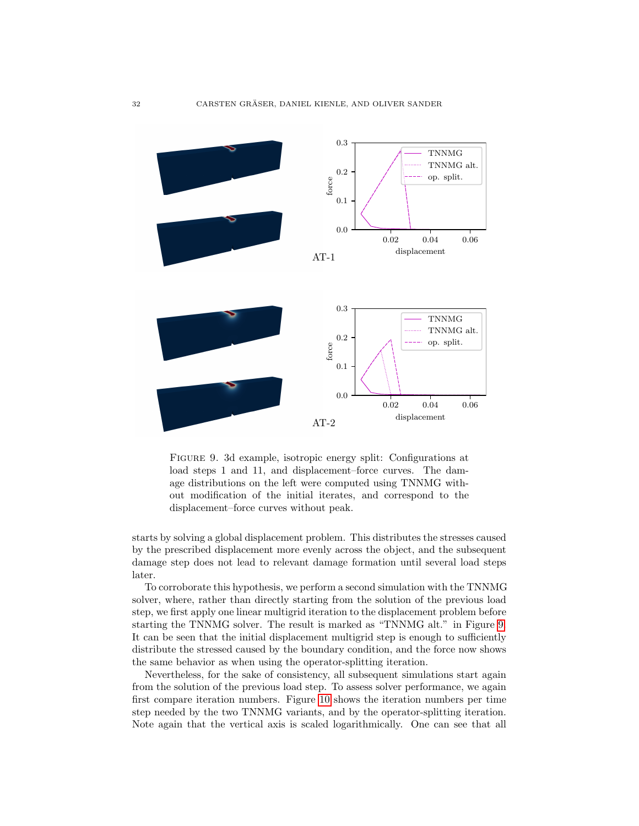

<span id="page-31-0"></span>Figure 9. 3d example, isotropic energy split: Configurations at load steps 1 and 11, and displacement–force curves. The damage distributions on the left were computed using TNNMG without modification of the initial iterates, and correspond to the displacement–force curves without peak.

starts by solving a global displacement problem. This distributes the stresses caused by the prescribed displacement more evenly across the object, and the subsequent damage step does not lead to relevant damage formation until several load steps later.

To corroborate this hypothesis, we perform a second simulation with the TNNMG solver, where, rather than directly starting from the solution of the previous load step, we first apply one linear multigrid iteration to the displacement problem before starting the TNNMG solver. The result is marked as "TNNMG alt." in Figure [9.](#page-31-0) It can be seen that the initial displacement multigrid step is enough to sufficiently distribute the stressed caused by the boundary condition, and the force now shows the same behavior as when using the operator-splitting iteration.

Nevertheless, for the sake of consistency, all subsequent simulations start again from the solution of the previous load step. To assess solver performance, we again first compare iteration numbers. Figure [10](#page-33-0) shows the iteration numbers per time step needed by the two TNNMG variants, and by the operator-splitting iteration. Note again that the vertical axis is scaled logarithmically. One can see that all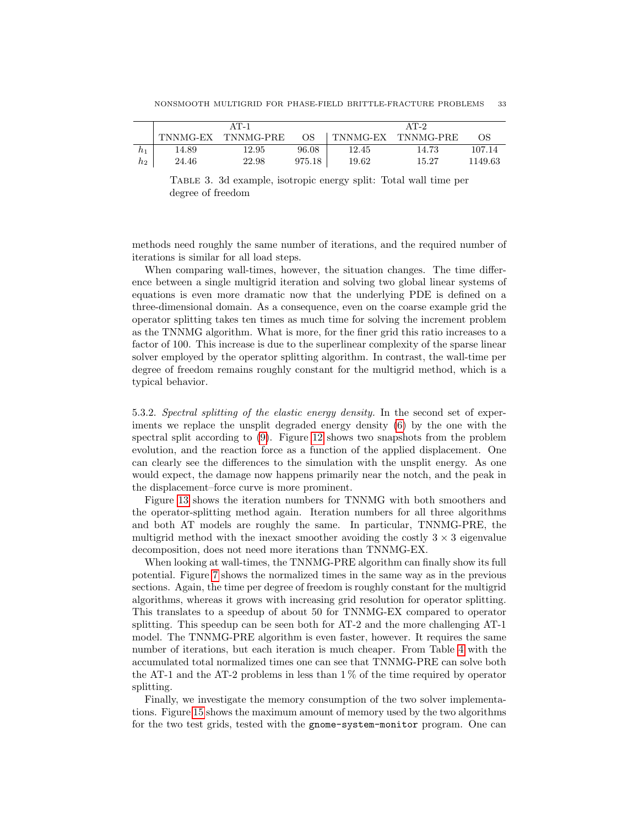|       | AT-1     |           |        | AT-2     |           |         |
|-------|----------|-----------|--------|----------|-----------|---------|
|       | TNNMG-EX | TNNMG-PRE | OS.    | TNNMG-EX | TNNMG-PRE | OS      |
| $h_1$ | 14.89    | 12.95     | 96.08  | 12.45    | 14.73     | 107.14  |
| $h_2$ | 24.46    | 22.98     | 975.18 | 19.62    | 15.27     | 1149.63 |

Table 3. 3d example, isotropic energy split: Total wall time per degree of freedom

methods need roughly the same number of iterations, and the required number of iterations is similar for all load steps.

When comparing wall-times, however, the situation changes. The time difference between a single multigrid iteration and solving two global linear systems of equations is even more dramatic now that the underlying PDE is defined on a three-dimensional domain. As a consequence, even on the coarse example grid the operator splitting takes ten times as much time for solving the increment problem as the TNNMG algorithm. What is more, for the finer grid this ratio increases to a factor of 100. This increase is due to the superlinear complexity of the sparse linear solver employed by the operator splitting algorithm. In contrast, the wall-time per degree of freedom remains roughly constant for the multigrid method, which is a typical behavior.

5.3.2. Spectral splitting of the elastic energy density. In the second set of experiments we replace the unsplit degraded energy density [\(6\)](#page-6-0) by the one with the spectral split according to [\(9\)](#page-7-1). Figure [12](#page-35-4) shows two snapshots from the problem evolution, and the reaction force as a function of the applied displacement. One can clearly see the differences to the simulation with the unsplit energy. As one would expect, the damage now happens primarily near the notch, and the peak in the displacement–force curve is more prominent.

Figure [13](#page-36-0) shows the iteration numbers for TNNMG with both smoothers and the operator-splitting method again. Iteration numbers for all three algorithms and both AT models are roughly the same. In particular, TNNMG-PRE, the multigrid method with the inexact smoother avoiding the costly  $3 \times 3$  eigenvalue decomposition, does not need more iterations than TNNMG-EX.

When looking at wall-times, the TNNMG-PRE algorithm can finally show its full potential. Figure [7](#page-28-0) shows the normalized times in the same way as in the previous sections. Again, the time per degree of freedom is roughly constant for the multigrid algorithms, whereas it grows with increasing grid resolution for operator splitting. This translates to a speedup of about 50 for TNNMG-EX compared to operator splitting. This speedup can be seen both for AT-2 and the more challenging AT-1 model. The TNNMG-PRE algorithm is even faster, however. It requires the same number of iterations, but each iteration is much cheaper. From Table [4](#page-34-0) with the accumulated total normalized times one can see that TNNMG-PRE can solve both the AT-1 and the AT-2 problems in less than  $1\%$  of the time required by operator splitting.

Finally, we investigate the memory consumption of the two solver implementations. Figure [15](#page-37-0) shows the maximum amount of memory used by the two algorithms for the two test grids, tested with the gnome-system-monitor program. One can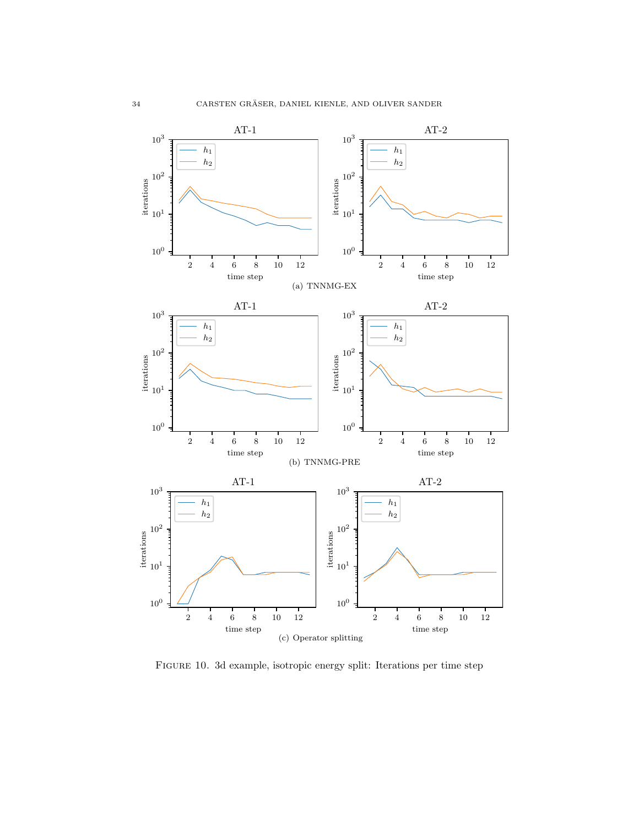

<span id="page-33-0"></span>Figure 10. 3d example, isotropic energy split: Iterations per time step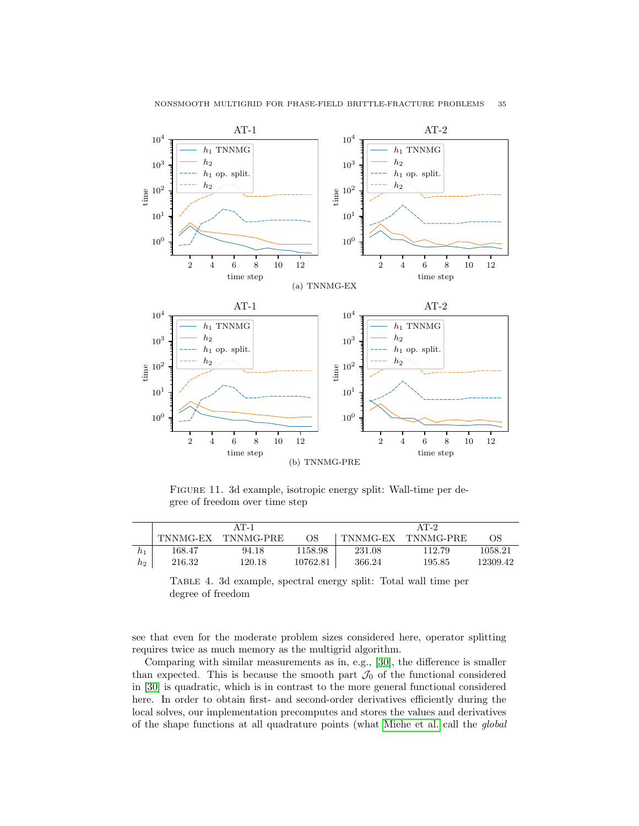

Figure 11. 3d example, isotropic energy split: Wall-time per degree of freedom over time step

|    | $AT-1$   |           |          | $AT-2$   |           |          |
|----|----------|-----------|----------|----------|-----------|----------|
|    | TNNMG-EX | TNNMG-PRE | OS       | TNNMG-EX | TNNMG-PRE | OS       |
| h1 | 168.47   | 94.18     | 1158.98  | 231.08   | 112.79    | 1058.21  |
| h2 | 216.32   | 120.18    | 10762.81 | 366.24   | 195.85    | 12309.42 |

<span id="page-34-0"></span>Table 4. 3d example, spectral energy split: Total wall time per degree of freedom

see that even for the moderate problem sizes considered here, operator splitting requires twice as much memory as the multigrid algorithm.

Comparing with similar measurements as in, e.g., [\[30\]](#page-39-10), the difference is smaller than expected. This is because the smooth part  $\mathcal{J}_0$  of the functional considered in [\[30\]](#page-39-10) is quadratic, which is in contrast to the more general functional considered here. In order to obtain first- and second-order derivatives efficiently during the local solves, our implementation precomputes and stores the values and derivatives of the shape functions at all quadrature points (what [Miehe et al.](#page-39-1) call the global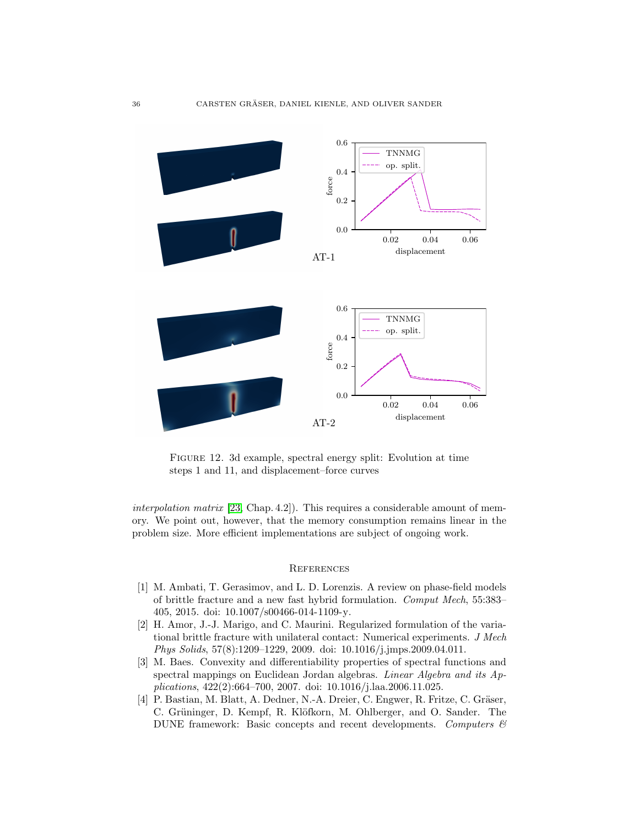

<span id="page-35-4"></span>Figure 12. 3d example, spectral energy split: Evolution at time steps 1 and 11, and displacement–force curves

interpolation matrix  $[23, Chap. 4.2]$  $[23, Chap. 4.2]$ . This requires a considerable amount of memory. We point out, however, that the memory consumption remains linear in the problem size. More efficient implementations are subject of ongoing work.

#### **REFERENCES**

- <span id="page-35-0"></span>[1] M. Ambati, T. Gerasimov, and L. D. Lorenzis. A review on phase-field models of brittle fracture and a new fast hybrid formulation. Comput Mech, 55:383– 405, 2015. doi: 10.1007/s00466-014-1109-y.
- <span id="page-35-1"></span>[2] H. Amor, J.-J. Marigo, and C. Maurini. Regularized formulation of the variational brittle fracture with unilateral contact: Numerical experiments. J Mech Phys Solids, 57(8):1209–1229, 2009. doi: 10.1016/j.jmps.2009.04.011.
- <span id="page-35-2"></span>[3] M. Baes. Convexity and differentiability properties of spectral functions and spectral mappings on Euclidean Jordan algebras. Linear Algebra and its Applications, 422(2):664–700, 2007. doi: 10.1016/j.laa.2006.11.025.
- <span id="page-35-3"></span>[4] P. Bastian, M. Blatt, A. Dedner, N.-A. Dreier, C. Engwer, R. Fritze, C. Gräser, C. Grüninger, D. Kempf, R. Klöfkorn, M. Ohlberger, and O. Sander. The DUNE framework: Basic concepts and recent developments. Computers  $\mathcal{C}$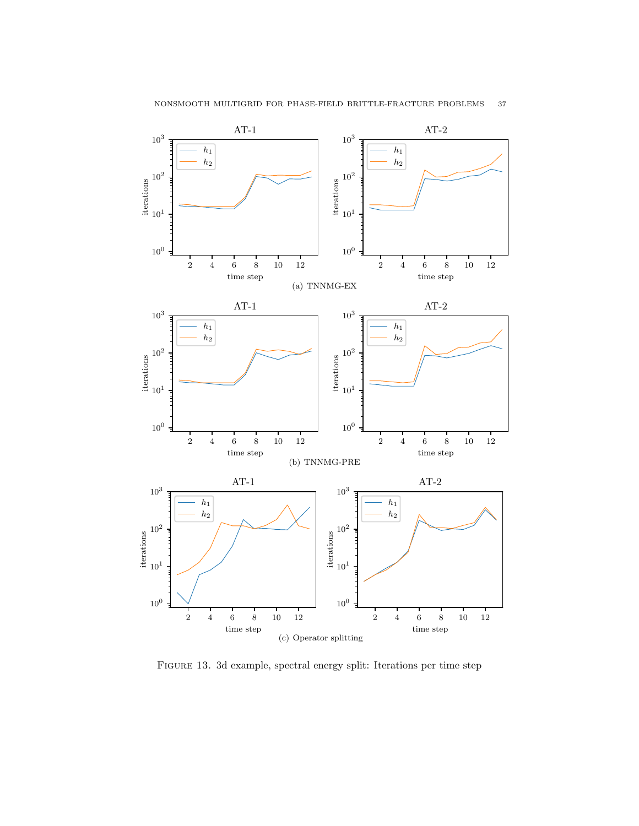

<span id="page-36-0"></span>Figure 13. 3d example, spectral energy split: Iterations per time step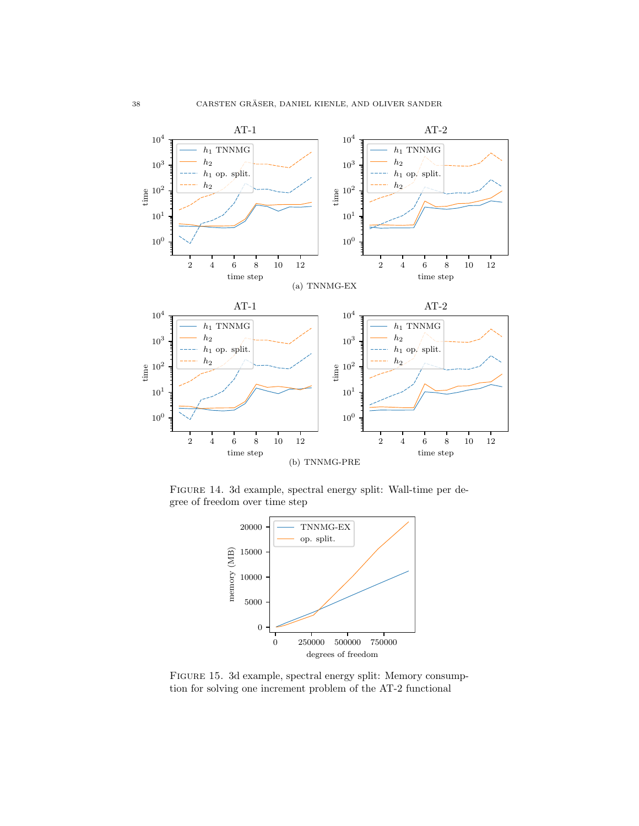

Figure 14. 3d example, spectral energy split: Wall-time per degree of freedom over time step



<span id="page-37-0"></span>Figure 15. 3d example, spectral energy split: Memory consumption for solving one increment problem of the AT-2 functional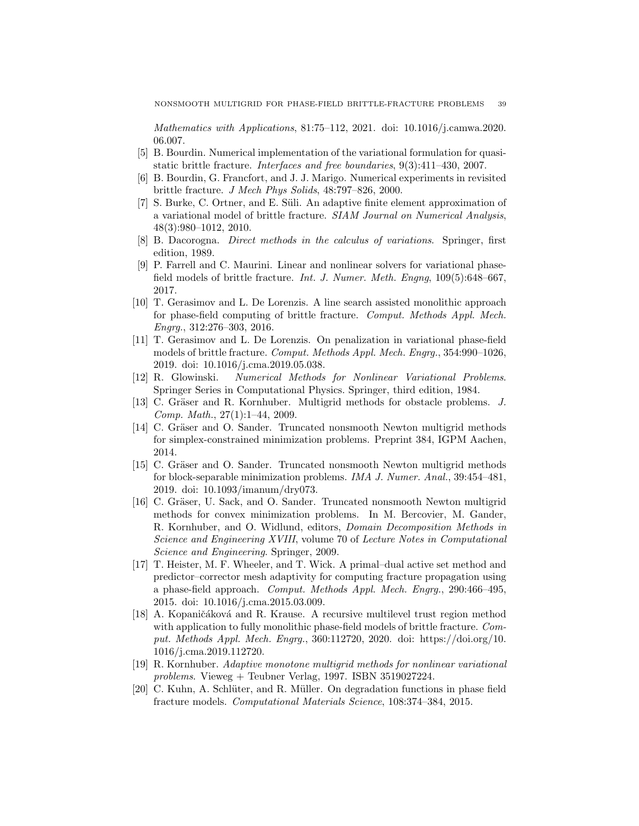Mathematics with Applications, 81:75–112, 2021. doi: 10.1016/j.camwa.2020. 06.007.

- <span id="page-38-1"></span>[5] B. Bourdin. Numerical implementation of the variational formulation for quasistatic brittle fracture. Interfaces and free boundaries, 9(3):411–430, 2007.
- <span id="page-38-12"></span>[6] B. Bourdin, G. Francfort, and J. J. Marigo. Numerical experiments in revisited brittle fracture. J Mech Phys Solids, 48:797–826, 2000.
- <span id="page-38-2"></span>[7] S. Burke, C. Ortner, and E. Süli. An adaptive finite element approximation of a variational model of brittle fracture. SIAM Journal on Numerical Analysis, 48(3):980–1012, 2010.
- <span id="page-38-13"></span>[8] B. Dacorogna. Direct methods in the calculus of variations. Springer, first edition, 1989.
- <span id="page-38-0"></span>[9] P. Farrell and C. Maurini. Linear and nonlinear solvers for variational phasefield models of brittle fracture. Int. J. Numer. Meth. Engng, 109(5):648–667, 2017.
- <span id="page-38-3"></span>[10] T. Gerasimov and L. De Lorenzis. A line search assisted monolithic approach for phase-field computing of brittle fracture. Comput. Methods Appl. Mech. Engrg., 312:276–303, 2016.
- <span id="page-38-5"></span>[11] T. Gerasimov and L. De Lorenzis. On penalization in variational phase-field models of brittle fracture. Comput. Methods Appl. Mech. Engrg., 354:990–1026, 2019. doi: 10.1016/j.cma.2019.05.038.
- <span id="page-38-14"></span>[12] R. Glowinski. Numerical Methods for Nonlinear Variational Problems. Springer Series in Computational Physics. Springer, third edition, 1984.
- <span id="page-38-6"></span>[13] C. Gräser and R. Kornhuber. Multigrid methods for obstacle problems. J. Comp. Math., 27(1):1–44, 2009.
- <span id="page-38-15"></span>[14] C. Gräser and O. Sander. Truncated nonsmooth Newton multigrid methods for simplex-constrained minimization problems. Preprint 384, IGPM Aachen, 2014.
- <span id="page-38-7"></span>[15] C. Gräser and O. Sander. Truncated nonsmooth Newton multigrid methods for block-separable minimization problems. IMA J. Numer. Anal., 39:454–481, 2019. doi: 10.1093/imanum/dry073.
- <span id="page-38-8"></span>[16] C. Gräser, U. Sack, and O. Sander. Truncated nonsmooth Newton multigrid methods for convex minimization problems. In M. Bercovier, M. Gander, R. Kornhuber, and O. Widlund, editors, Domain Decomposition Methods in Science and Engineering XVIII, volume 70 of Lecture Notes in Computational Science and Engineering. Springer, 2009.
- <span id="page-38-4"></span>[17] T. Heister, M. F. Wheeler, and T. Wick. A primal–dual active set method and predictor–corrector mesh adaptivity for computing fracture propagation using a phase-field approach. Comput. Methods Appl. Mech. Engrg., 290:466–495, 2015. doi: 10.1016/j.cma.2015.03.009.
- <span id="page-38-9"></span>[18] A. Kopaničáková and R. Krause. A recursive multilevel trust region method with application to fully monolithic phase-field models of brittle fracture. Comput. Methods Appl. Mech. Engrg., 360:112720, 2020. doi: https://doi.org/10. 1016/j.cma.2019.112720.
- <span id="page-38-10"></span>[19] R. Kornhuber. Adaptive monotone multigrid methods for nonlinear variational problems. Vieweg + Teubner Verlag, 1997. ISBN 3519027224.
- <span id="page-38-11"></span>[20] C. Kuhn, A. Schlüter, and R. Müller. On degradation functions in phase field fracture models. Computational Materials Science, 108:374–384, 2015.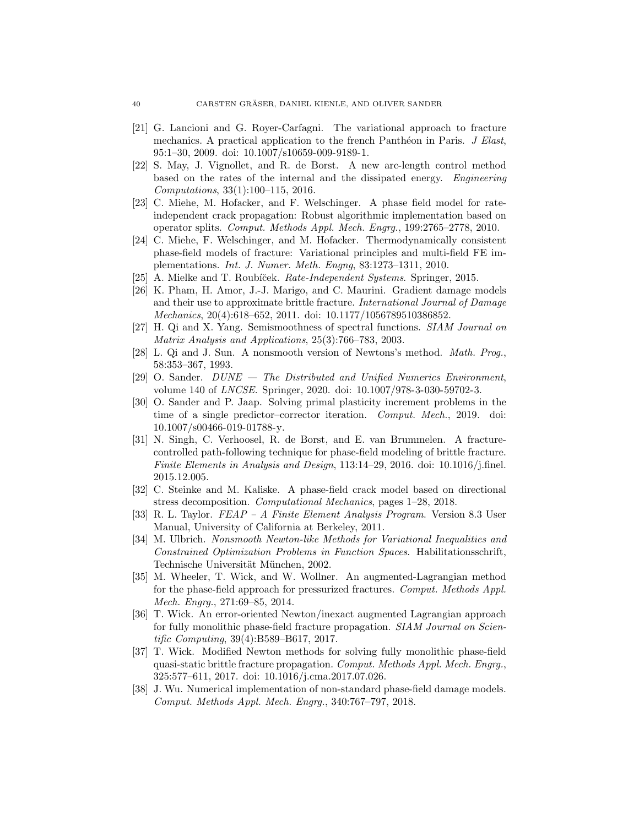- <span id="page-39-13"></span>[21] G. Lancioni and G. Royer-Carfagni. The variational approach to fracture mechanics. A practical application to the french Panthéon in Paris.  $J$  Elast, 95:1–30, 2009. doi: 10.1007/s10659-009-9189-1.
- <span id="page-39-4"></span>[22] S. May, J. Vignollet, and R. de Borst. A new arc-length control method based on the rates of the internal and the dissipated energy. Engineering Computations, 33(1):100–115, 2016.
- <span id="page-39-1"></span>[23] C. Miehe, M. Hofacker, and F. Welschinger. A phase field model for rateindependent crack propagation: Robust algorithmic implementation based on operator splits. Comput. Methods Appl. Mech. Engrg., 199:2765–2778, 2010.
- <span id="page-39-0"></span>[24] C. Miehe, F. Welschinger, and M. Hofacker. Thermodynamically consistent phase-field models of fracture: Variational principles and multi-field FE implementations. Int. J. Numer. Meth. Engng, 83:1273–1311, 2010.
- <span id="page-39-9"></span>[25] A. Mielke and T. Roubíček. *Rate-Independent Systems*. Springer, 2015.
- <span id="page-39-15"></span>[26] K. Pham, H. Amor, J.-J. Marigo, and C. Maurini. Gradient damage models and their use to approximate brittle fracture. International Journal of Damage Mechanics, 20(4):618–652, 2011. doi: 10.1177/1056789510386852.
- <span id="page-39-11"></span>[27] H. Qi and X. Yang. Semismoothness of spectral functions. SIAM Journal on Matrix Analysis and Applications, 25(3):766–783, 2003.
- <span id="page-39-12"></span>[28] L. Qi and J. Sun. A nonsmooth version of Newtons's method. Math. Prog., 58:353–367, 1993.
- <span id="page-39-17"></span>[29] O. Sander. DUNE — The Distributed and Unified Numerics Environment, volume 140 of LNCSE. Springer, 2020. doi: 10.1007/978-3-030-59702-3.
- <span id="page-39-10"></span>[30] O. Sander and P. Jaap. Solving primal plasticity increment problems in the time of a single predictor–corrector iteration. Comput. Mech., 2019. doi: 10.1007/s00466-019-01788-y.
- <span id="page-39-5"></span>[31] N. Singh, C. Verhoosel, R. de Borst, and E. van Brummelen. A fracturecontrolled path-following technique for phase-field modeling of brittle fracture. Finite Elements in Analysis and Design, 113:14–29, 2016. doi: 10.1016/j.finel. 2015.12.005.
- <span id="page-39-8"></span>[32] C. Steinke and M. Kaliske. A phase-field crack model based on directional stress decomposition. Computational Mechanics, pages 1–28, 2018.
- <span id="page-39-16"></span>[33] R. L. Taylor. FEAP – A Finite Element Analysis Program. Version 8.3 User Manual, University of California at Berkeley, 2011.
- <span id="page-39-14"></span>[34] M. Ulbrich. Nonsmooth Newton-like Methods for Variational Inequalities and Constrained Optimization Problems in Function Spaces. Habilitationsschrift, Technische Universität München, 2002.
- <span id="page-39-6"></span>[35] M. Wheeler, T. Wick, and W. Wollner. An augmented-Lagrangian method for the phase-field approach for pressurized fractures. Comput. Methods Appl. Mech. Engrg., 271:69–85, 2014.
- <span id="page-39-2"></span>[36] T. Wick. An error-oriented Newton/inexact augmented Lagrangian approach for fully monolithic phase-field fracture propagation. *SIAM Journal on Scien*tific Computing, 39(4):B589–B617, 2017.
- <span id="page-39-3"></span>[37] T. Wick. Modified Newton methods for solving fully monolithic phase-field quasi-static brittle fracture propagation. Comput. Methods Appl. Mech. Engrg., 325:577–611, 2017. doi: 10.1016/j.cma.2017.07.026.
- <span id="page-39-7"></span>[38] J. Wu. Numerical implementation of non-standard phase-field damage models. Comput. Methods Appl. Mech. Engrg., 340:767–797, 2018.